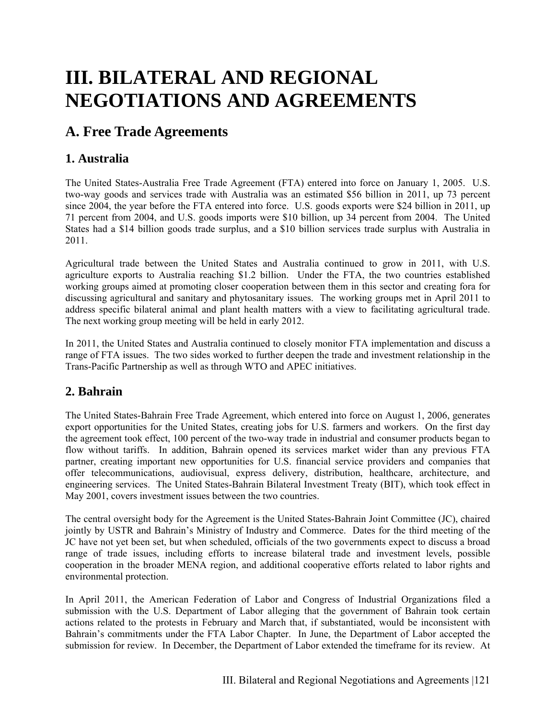# **III. BILATERAL AND REGIONAL NEGOTIATIONS AND AGREEMENTS**

# **A. Free Trade Agreements**

# **1. Australia**

The United States-Australia Free Trade Agreement (FTA) entered into force on January 1, 2005. U.S. two-way goods and services trade with Australia was an estimated \$56 billion in 2011, up 73 percent since 2004, the year before the FTA entered into force. U.S. goods exports were \$24 billion in 2011, up 71 percent from 2004, and U.S. goods imports were \$10 billion, up 34 percent from 2004. The United States had a \$14 billion goods trade surplus, and a \$10 billion services trade surplus with Australia in 2011.

Agricultural trade between the United States and Australia continued to grow in 2011, with U.S. agriculture exports to Australia reaching \$1.2 billion. Under the FTA, the two countries established working groups aimed at promoting closer cooperation between them in this sector and creating fora for discussing agricultural and sanitary and phytosanitary issues. The working groups met in April 2011 to address specific bilateral animal and plant health matters with a view to facilitating agricultural trade. The next working group meeting will be held in early 2012.

In 2011, the United States and Australia continued to closely monitor FTA implementation and discuss a range of FTA issues. The two sides worked to further deepen the trade and investment relationship in the Trans-Pacific Partnership as well as through WTO and APEC initiatives.

# **2. Bahrain**

The United States-Bahrain Free Trade Agreement, which entered into force on August 1, 2006, generates export opportunities for the United States, creating jobs for U.S. farmers and workers. On the first day the agreement took effect, 100 percent of the two-way trade in industrial and consumer products began to flow without tariffs. In addition, Bahrain opened its services market wider than any previous FTA partner, creating important new opportunities for U.S. financial service providers and companies that offer telecommunications, audiovisual, express delivery, distribution, healthcare, architecture, and engineering services. The United States-Bahrain Bilateral Investment Treaty (BIT), which took effect in May 2001, covers investment issues between the two countries.

The central oversight body for the Agreement is the United States-Bahrain Joint Committee (JC), chaired jointly by USTR and Bahrain's Ministry of Industry and Commerce. Dates for the third meeting of the JC have not yet been set, but when scheduled, officials of the two governments expect to discuss a broad range of trade issues, including efforts to increase bilateral trade and investment levels, possible cooperation in the broader MENA region, and additional cooperative efforts related to labor rights and environmental protection.

In April 2011, the American Federation of Labor and Congress of Industrial Organizations filed a submission with the U.S. Department of Labor alleging that the government of Bahrain took certain actions related to the protests in February and March that, if substantiated, would be inconsistent with Bahrain's commitments under the FTA Labor Chapter. In June, the Department of Labor accepted the submission for review. In December, the Department of Labor extended the timeframe for its review. At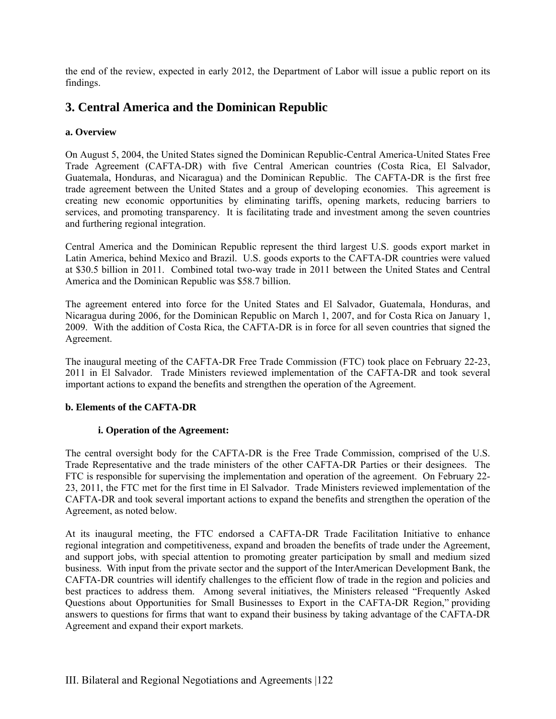the end of the review, expected in early 2012, the Department of Labor will issue a public report on its findings.

# **3. Central America and the Dominican Republic**

#### **a. Overview**

On August 5, 2004, the United States signed the Dominican Republic-Central America-United States Free Trade Agreement (CAFTA-DR) with five Central American countries (Costa Rica, El Salvador, Guatemala, Honduras, and Nicaragua) and the Dominican Republic. The CAFTA-DR is the first free trade agreement between the United States and a group of developing economies. This agreement is creating new economic opportunities by eliminating tariffs, opening markets, reducing barriers to services, and promoting transparency. It is facilitating trade and investment among the seven countries and furthering regional integration.

Central America and the Dominican Republic represent the third largest U.S. goods export market in Latin America, behind Mexico and Brazil. U.S. goods exports to the CAFTA-DR countries were valued at \$30.5 billion in 2011. Combined total two-way trade in 2011 between the United States and Central America and the Dominican Republic was \$58.7 billion.

The agreement entered into force for the United States and El Salvador, Guatemala, Honduras, and Nicaragua during 2006, for the Dominican Republic on March 1, 2007, and for Costa Rica on January 1, 2009. With the addition of Costa Rica, the CAFTA-DR is in force for all seven countries that signed the Agreement.

The inaugural meeting of the CAFTA-DR Free Trade Commission (FTC) took place on February 22-23, 2011 in El Salvador. Trade Ministers reviewed implementation of the CAFTA-DR and took several important actions to expand the benefits and strengthen the operation of the Agreement.

#### **b. Elements of the CAFTA-DR**

#### **i. Operation of the Agreement:**

The central oversight body for the CAFTA-DR is the Free Trade Commission, comprised of the U.S. Trade Representative and the trade ministers of the other CAFTA-DR Parties or their designees. The FTC is responsible for supervising the implementation and operation of the agreement. On February 22- 23, 2011, the FTC met for the first time in El Salvador. Trade Ministers reviewed implementation of the CAFTA-DR and took several important actions to expand the benefits and strengthen the operation of the Agreement, as noted below.

At its inaugural meeting, the FTC endorsed a CAFTA-DR Trade Facilitation Initiative to enhance regional integration and competitiveness, expand and broaden the benefits of trade under the Agreement, and support jobs, with special attention to promoting greater participation by small and medium sized business. With input from the private sector and the support of the InterAmerican Development Bank, the CAFTA-DR countries will identify challenges to the efficient flow of trade in the region and policies and best practices to address them. Among several initiatives, the Ministers released "Frequently Asked Questions about Opportunities for Small Businesses to Export in the CAFTA-DR Region," providing answers to questions for firms that want to expand their business by taking advantage of the CAFTA-DR Agreement and expand their export markets.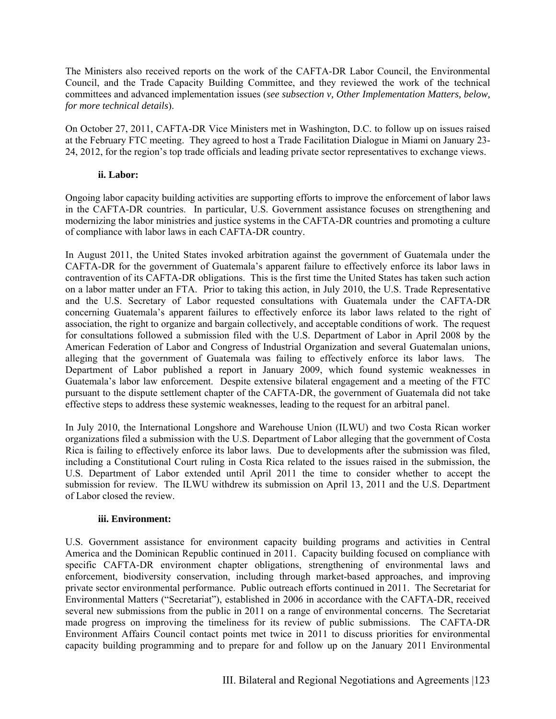The Ministers also received reports on the work of the CAFTA-DR Labor Council, the Environmental Council, and the Trade Capacity Building Committee, and they reviewed the work of the technical committees and advanced implementation issues (*see subsection v, Other Implementation Matters, below, for more technical details*).

On October 27, 2011, CAFTA-DR Vice Ministers met in Washington, D.C. to follow up on issues raised at the February FTC meeting. They agreed to host a Trade Facilitation Dialogue in Miami on January 23- 24, 2012, for the region's top trade officials and leading private sector representatives to exchange views.

#### **ii. Labor:**

Ongoing labor capacity building activities are supporting efforts to improve the enforcement of labor laws in the CAFTA-DR countries. In particular, U.S. Government assistance focuses on strengthening and modernizing the labor ministries and justice systems in the CAFTA-DR countries and promoting a culture of compliance with labor laws in each CAFTA-DR country.

In August 2011, the United States invoked arbitration against the government of Guatemala under the CAFTA-DR for the government of Guatemala's apparent failure to effectively enforce its labor laws in contravention of its CAFTA-DR obligations. This is the first time the United States has taken such action on a labor matter under an FTA. Prior to taking this action, in July 2010, the U.S. Trade Representative and the U.S. Secretary of Labor requested consultations with Guatemala under the CAFTA-DR concerning Guatemala's apparent failures to effectively enforce its labor laws related to the right of association, the right to organize and bargain collectively, and acceptable conditions of work. The request for consultations followed a submission filed with the U.S. Department of Labor in April 2008 by the American Federation of Labor and Congress of Industrial Organization and several Guatemalan unions, alleging that the government of Guatemala was failing to effectively enforce its labor laws. The Department of Labor published a report in January 2009, which found systemic weaknesses in Guatemala's labor law enforcement. Despite extensive bilateral engagement and a meeting of the FTC pursuant to the dispute settlement chapter of the CAFTA-DR, the government of Guatemala did not take effective steps to address these systemic weaknesses, leading to the request for an arbitral panel.

In July 2010, the International Longshore and Warehouse Union (ILWU) and two Costa Rican worker organizations filed a submission with the U.S. Department of Labor alleging that the government of Costa Rica is failing to effectively enforce its labor laws. Due to developments after the submission was filed, including a Constitutional Court ruling in Costa Rica related to the issues raised in the submission, the U.S. Department of Labor extended until April 2011 the time to consider whether to accept the submission for review. The ILWU withdrew its submission on April 13, 2011 and the U.S. Department of Labor closed the review.

#### **iii. Environment:**

U.S. Government assistance for environment capacity building programs and activities in Central America and the Dominican Republic continued in 2011. Capacity building focused on compliance with specific CAFTA-DR environment chapter obligations, strengthening of environmental laws and enforcement, biodiversity conservation, including through market-based approaches, and improving private sector environmental performance. Public outreach efforts continued in 2011. The Secretariat for Environmental Matters ("Secretariat"), established in 2006 in accordance with the CAFTA-DR, received several new submissions from the public in 2011 on a range of environmental concerns. The Secretariat made progress on improving the timeliness for its review of public submissions. The CAFTA-DR Environment Affairs Council contact points met twice in 2011 to discuss priorities for environmental capacity building programming and to prepare for and follow up on the January 2011 Environmental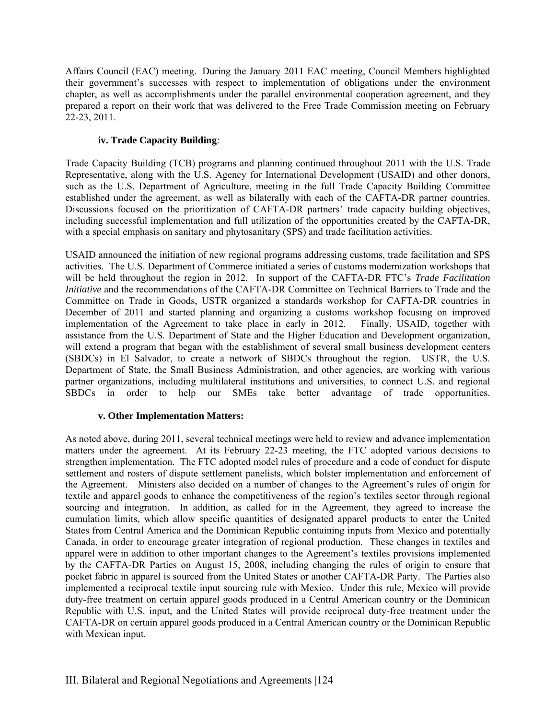Affairs Council (EAC) meeting. During the January 2011 EAC meeting, Council Members highlighted their government's successes with respect to implementation of obligations under the environment chapter, as well as accomplishments under the parallel environmental cooperation agreement, and they prepared a report on their work that was delivered to the Free Trade Commission meeting on February 22-23, 2011.

#### **iv. Trade Capacity Building***:*

Trade Capacity Building (TCB) programs and planning continued throughout 2011 with the U.S. Trade Representative, along with the U.S. Agency for International Development (USAID) and other donors, such as the U.S. Department of Agriculture, meeting in the full Trade Capacity Building Committee established under the agreement, as well as bilaterally with each of the CAFTA-DR partner countries. Discussions focused on the prioritization of CAFTA-DR partners' trade capacity building objectives, including successful implementation and full utilization of the opportunities created by the CAFTA-DR, with a special emphasis on sanitary and phytosanitary (SPS) and trade facilitation activities.

USAID announced the initiation of new regional programs addressing customs, trade facilitation and SPS activities. The U.S. Department of Commerce initiated a series of customs modernization workshops that will be held throughout the region in 2012. In support of the CAFTA-DR FTC's *Trade Facilitation Initiative* and the recommendations of the CAFTA-DR Committee on Technical Barriers to Trade and the Committee on Trade in Goods, USTR organized a standards workshop for CAFTA-DR countries in December of 2011 and started planning and organizing a customs workshop focusing on improved implementation of the Agreement to take place in early in 2012. Finally, USAID, together with assistance from the U.S. Department of State and the Higher Education and Development organization, will extend a program that began with the establishment of several small business development centers (SBDCs) in El Salvador, to create a network of SBDCs throughout the region. USTR, the U.S. Department of State, the Small Business Administration, and other agencies, are working with various partner organizations, including multilateral institutions and universities, to connect U.S. and regional SBDCs in order to help our SMEs take better advantage of trade opportunities.

#### **v. Other Implementation Matters:**

As noted above, during 2011, several technical meetings were held to review and advance implementation matters under the agreement. At its February 22-23 meeting, the FTC adopted various decisions to strengthen implementation. The FTC adopted model rules of procedure and a code of conduct for dispute settlement and rosters of dispute settlement panelists, which bolster implementation and enforcement of the Agreement. Ministers also decided on a number of changes to the Agreement's rules of origin for textile and apparel goods to enhance the competitiveness of the region's textiles sector through regional sourcing and integration. In addition, as called for in the Agreement, they agreed to increase the cumulation limits, which allow specific quantities of designated apparel products to enter the United States from Central America and the Dominican Republic containing inputs from Mexico and potentially Canada, in order to encourage greater integration of regional production. These changes in textiles and apparel were in addition to other important changes to the Agreement's textiles provisions implemented by the CAFTA-DR Parties on August 15, 2008, including changing the rules of origin to ensure that pocket fabric in apparel is sourced from the United States or another CAFTA-DR Party. The Parties also implemented a reciprocal textile input sourcing rule with Mexico. Under this rule, Mexico will provide duty-free treatment on certain apparel goods produced in a Central American country or the Dominican Republic with U.S. input, and the United States will provide reciprocal duty-free treatment under the CAFTA-DR on certain apparel goods produced in a Central American country or the Dominican Republic with Mexican input.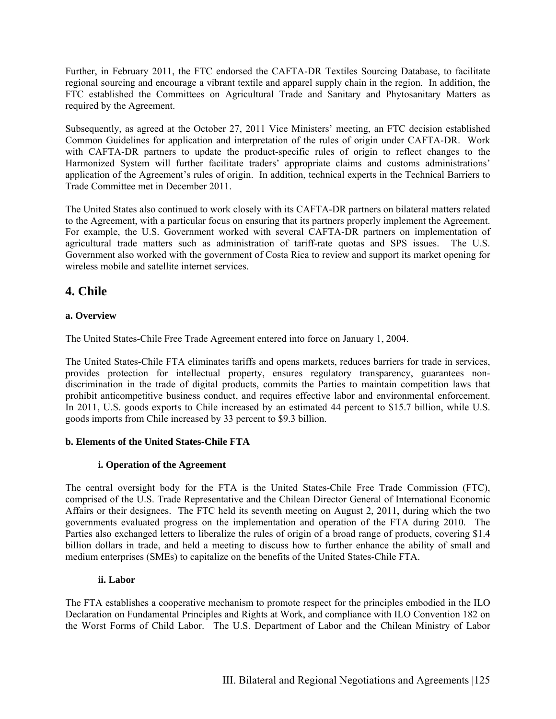Further, in February 2011, the FTC endorsed the CAFTA-DR Textiles Sourcing Database, to facilitate regional sourcing and encourage a vibrant textile and apparel supply chain in the region. In addition, the FTC established the Committees on Agricultural Trade and Sanitary and Phytosanitary Matters as required by the Agreement.

Subsequently, as agreed at the October 27, 2011 Vice Ministers' meeting, an FTC decision established Common Guidelines for application and interpretation of the rules of origin under CAFTA-DR. Work with CAFTA-DR partners to update the product-specific rules of origin to reflect changes to the Harmonized System will further facilitate traders' appropriate claims and customs administrations' application of the Agreement's rules of origin. In addition, technical experts in the Technical Barriers to Trade Committee met in December 2011.

The United States also continued to work closely with its CAFTA-DR partners on bilateral matters related to the Agreement, with a particular focus on ensuring that its partners properly implement the Agreement. For example, the U.S. Government worked with several CAFTA-DR partners on implementation of agricultural trade matters such as administration of tariff-rate quotas and SPS issues. The U.S. Government also worked with the government of Costa Rica to review and support its market opening for wireless mobile and satellite internet services.

# **4. Chile**

#### **a. Overview**

The United States-Chile Free Trade Agreement entered into force on January 1, 2004.

The United States-Chile FTA eliminates tariffs and opens markets, reduces barriers for trade in services, provides protection for intellectual property, ensures regulatory transparency, guarantees nondiscrimination in the trade of digital products, commits the Parties to maintain competition laws that prohibit anticompetitive business conduct, and requires effective labor and environmental enforcement. In 2011, U.S. goods exports to Chile increased by an estimated 44 percent to \$15.7 billion, while U.S. goods imports from Chile increased by 33 percent to \$9.3 billion.

#### **b. Elements of the United States-Chile FTA**

#### **i. Operation of the Agreement**

The central oversight body for the FTA is the United States-Chile Free Trade Commission (FTC), comprised of the U.S. Trade Representative and the Chilean Director General of International Economic Affairs or their designees. The FTC held its seventh meeting on August 2, 2011, during which the two governments evaluated progress on the implementation and operation of the FTA during 2010. The Parties also exchanged letters to liberalize the rules of origin of a broad range of products, covering \$1.4 billion dollars in trade, and held a meeting to discuss how to further enhance the ability of small and medium enterprises (SMEs) to capitalize on the benefits of the United States-Chile FTA.

### **ii. Labor**

The FTA establishes a cooperative mechanism to promote respect for the principles embodied in the ILO Declaration on Fundamental Principles and Rights at Work, and compliance with ILO Convention 182 on the Worst Forms of Child Labor. The U.S. Department of Labor and the Chilean Ministry of Labor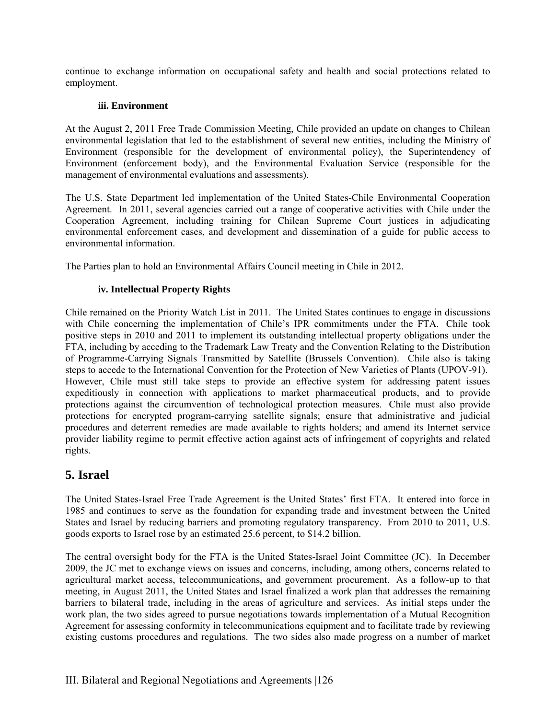continue to exchange information on occupational safety and health and social protections related to employment.

#### **iii. Environment**

At the August 2, 2011 Free Trade Commission Meeting, Chile provided an update on changes to Chilean environmental legislation that led to the establishment of several new entities, including the Ministry of Environment (responsible for the development of environmental policy), the Superintendency of Environment (enforcement body), and the Environmental Evaluation Service (responsible for the management of environmental evaluations and assessments).

The U.S. State Department led implementation of the United States-Chile Environmental Cooperation Agreement. In 2011, several agencies carried out a range of cooperative activities with Chile under the Cooperation Agreement, including training for Chilean Supreme Court justices in adjudicating environmental enforcement cases, and development and dissemination of a guide for public access to environmental information.

The Parties plan to hold an Environmental Affairs Council meeting in Chile in 2012.

#### **iv. Intellectual Property Rights**

Chile remained on the Priority Watch List in 2011. The United States continues to engage in discussions with Chile concerning the implementation of Chile's IPR commitments under the FTA. Chile took positive steps in 2010 and 2011 to implement its outstanding intellectual property obligations under the FTA, including by acceding to the Trademark Law Treaty and the Convention Relating to the Distribution of Programme-Carrying Signals Transmitted by Satellite (Brussels Convention). Chile also is taking steps to accede to the International Convention for the Protection of New Varieties of Plants (UPOV-91). However, Chile must still take steps to provide an effective system for addressing patent issues expeditiously in connection with applications to market pharmaceutical products, and to provide protections against the circumvention of technological protection measures. Chile must also provide protections for encrypted program-carrying satellite signals; ensure that administrative and judicial procedures and deterrent remedies are made available to rights holders; and amend its Internet service provider liability regime to permit effective action against acts of infringement of copyrights and related rights.

# **5. Israel**

The United States-Israel Free Trade Agreement is the United States' first FTA. It entered into force in 1985 and continues to serve as the foundation for expanding trade and investment between the United States and Israel by reducing barriers and promoting regulatory transparency. From 2010 to 2011, U.S. goods exports to Israel rose by an estimated 25.6 percent, to \$14.2 billion.

The central oversight body for the FTA is the United States-Israel Joint Committee (JC). In December 2009, the JC met to exchange views on issues and concerns, including, among others, concerns related to agricultural market access, telecommunications, and government procurement. As a follow-up to that meeting, in August 2011, the United States and Israel finalized a work plan that addresses the remaining barriers to bilateral trade, including in the areas of agriculture and services. As initial steps under the work plan, the two sides agreed to pursue negotiations towards implementation of a Mutual Recognition Agreement for assessing conformity in telecommunications equipment and to facilitate trade by reviewing existing customs procedures and regulations. The two sides also made progress on a number of market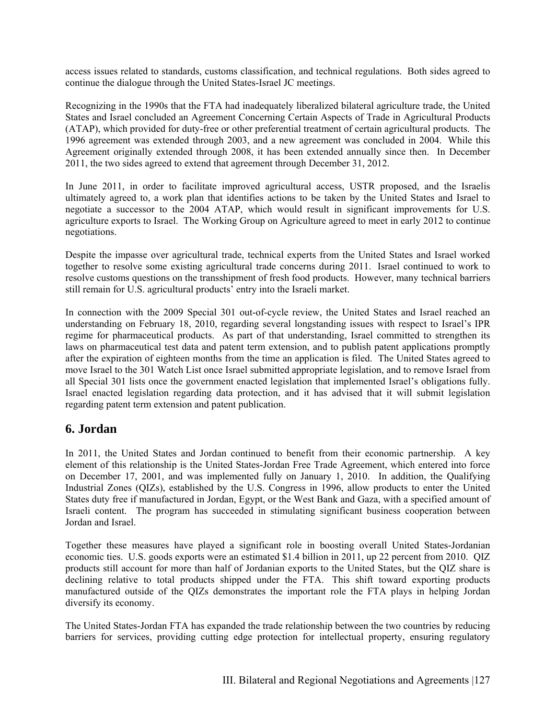access issues related to standards, customs classification, and technical regulations. Both sides agreed to continue the dialogue through the United States-Israel JC meetings.

Recognizing in the 1990s that the FTA had inadequately liberalized bilateral agriculture trade, the United States and Israel concluded an Agreement Concerning Certain Aspects of Trade in Agricultural Products (ATAP), which provided for duty-free or other preferential treatment of certain agricultural products. The 1996 agreement was extended through 2003, and a new agreement was concluded in 2004. While this Agreement originally extended through 2008, it has been extended annually since then. In December 2011, the two sides agreed to extend that agreement through December 31, 2012.

In June 2011, in order to facilitate improved agricultural access, USTR proposed, and the Israelis ultimately agreed to, a work plan that identifies actions to be taken by the United States and Israel to negotiate a successor to the 2004 ATAP, which would result in significant improvements for U.S. agriculture exports to Israel. The Working Group on Agriculture agreed to meet in early 2012 to continue negotiations.

Despite the impasse over agricultural trade, technical experts from the United States and Israel worked together to resolve some existing agricultural trade concerns during 2011. Israel continued to work to resolve customs questions on the transshipment of fresh food products. However, many technical barriers still remain for U.S. agricultural products' entry into the Israeli market.

In connection with the 2009 Special 301 out-of-cycle review, the United States and Israel reached an understanding on February 18, 2010, regarding several longstanding issues with respect to Israel's IPR regime for pharmaceutical products. As part of that understanding, Israel committed to strengthen its laws on pharmaceutical test data and patent term extension, and to publish patent applications promptly after the expiration of eighteen months from the time an application is filed. The United States agreed to move Israel to the 301 Watch List once Israel submitted appropriate legislation, and to remove Israel from all Special 301 lists once the government enacted legislation that implemented Israel's obligations fully. Israel enacted legislation regarding data protection, and it has advised that it will submit legislation regarding patent term extension and patent publication.

# **6. Jordan**

In 2011, the United States and Jordan continued to benefit from their economic partnership. A key element of this relationship is the United States-Jordan Free Trade Agreement, which entered into force on December 17, 2001, and was implemented fully on January 1, 2010. In addition, the Qualifying Industrial Zones (QIZs), established by the U.S. Congress in 1996, allow products to enter the United States duty free if manufactured in Jordan, Egypt, or the West Bank and Gaza, with a specified amount of Israeli content. The program has succeeded in stimulating significant business cooperation between Jordan and Israel.

Together these measures have played a significant role in boosting overall United States-Jordanian economic ties. U.S. goods exports were an estimated \$1.4 billion in 2011, up 22 percent from 2010. QIZ products still account for more than half of Jordanian exports to the United States, but the QIZ share is declining relative to total products shipped under the FTA. This shift toward exporting products manufactured outside of the QIZs demonstrates the important role the FTA plays in helping Jordan diversify its economy.

The United States-Jordan FTA has expanded the trade relationship between the two countries by reducing barriers for services, providing cutting edge protection for intellectual property, ensuring regulatory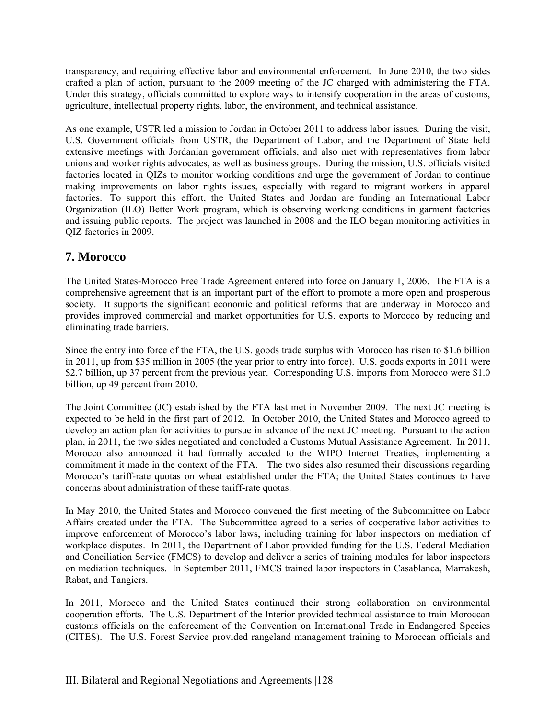transparency, and requiring effective labor and environmental enforcement. In June 2010, the two sides crafted a plan of action, pursuant to the 2009 meeting of the JC charged with administering the FTA. Under this strategy, officials committed to explore ways to intensify cooperation in the areas of customs, agriculture, intellectual property rights, labor, the environment, and technical assistance.

As one example, USTR led a mission to Jordan in October 2011 to address labor issues. During the visit, U.S. Government officials from USTR, the Department of Labor, and the Department of State held extensive meetings with Jordanian government officials, and also met with representatives from labor unions and worker rights advocates, as well as business groups. During the mission, U.S. officials visited factories located in QIZs to monitor working conditions and urge the government of Jordan to continue making improvements on labor rights issues, especially with regard to migrant workers in apparel factories. To support this effort, the United States and Jordan are funding an International Labor Organization (ILO) Better Work program, which is observing working conditions in garment factories and issuing public reports. The project was launched in 2008 and the ILO began monitoring activities in QIZ factories in 2009.

# **7. Morocco**

The United States-Morocco Free Trade Agreement entered into force on January 1, 2006. The FTA is a comprehensive agreement that is an important part of the effort to promote a more open and prosperous society. It supports the significant economic and political reforms that are underway in Morocco and provides improved commercial and market opportunities for U.S. exports to Morocco by reducing and eliminating trade barriers.

Since the entry into force of the FTA, the U.S. goods trade surplus with Morocco has risen to \$1.6 billion in 2011, up from \$35 million in 2005 (the year prior to entry into force). U.S. goods exports in 2011 were \$2.7 billion, up 37 percent from the previous year. Corresponding U.S. imports from Morocco were \$1.0 billion, up 49 percent from 2010.

The Joint Committee (JC) established by the FTA last met in November 2009. The next JC meeting is expected to be held in the first part of 2012. In October 2010, the United States and Morocco agreed to develop an action plan for activities to pursue in advance of the next JC meeting. Pursuant to the action plan, in 2011, the two sides negotiated and concluded a Customs Mutual Assistance Agreement. In 2011, Morocco also announced it had formally acceded to the WIPO Internet Treaties, implementing a commitment it made in the context of the FTA. The two sides also resumed their discussions regarding Morocco's tariff-rate quotas on wheat established under the FTA; the United States continues to have concerns about administration of these tariff-rate quotas.

In May 2010, the United States and Morocco convened the first meeting of the Subcommittee on Labor Affairs created under the FTA. The Subcommittee agreed to a series of cooperative labor activities to improve enforcement of Morocco's labor laws, including training for labor inspectors on mediation of workplace disputes. In 2011, the Department of Labor provided funding for the U.S. Federal Mediation and Conciliation Service (FMCS) to develop and deliver a series of training modules for labor inspectors on mediation techniques. In September 2011, FMCS trained labor inspectors in Casablanca, Marrakesh, Rabat, and Tangiers.

In 2011, Morocco and the United States continued their strong collaboration on environmental cooperation efforts. The U.S. Department of the Interior provided technical assistance to train Moroccan customs officials on the enforcement of the Convention on International Trade in Endangered Species (CITES). The U.S. Forest Service provided rangeland management training to Moroccan officials and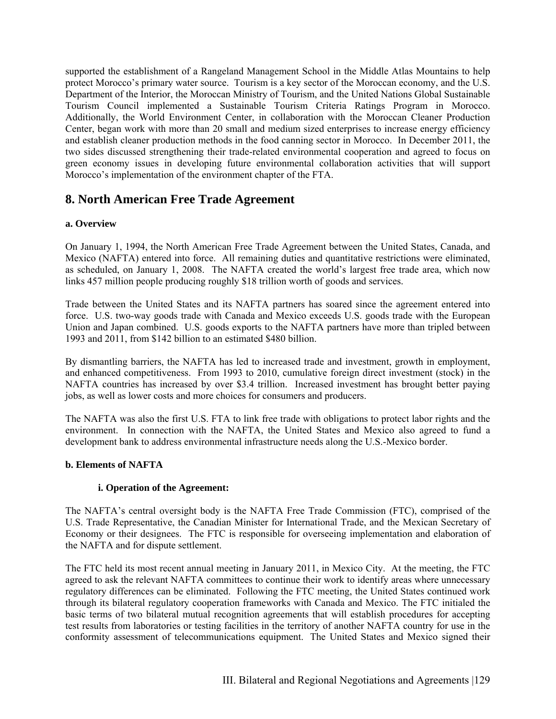supported the establishment of a Rangeland Management School in the Middle Atlas Mountains to help protect Morocco's primary water source. Tourism is a key sector of the Moroccan economy, and the U.S. Department of the Interior, the Moroccan Ministry of Tourism, and the United Nations Global Sustainable Tourism Council implemented a Sustainable Tourism Criteria Ratings Program in Morocco. Additionally, the World Environment Center, in collaboration with the Moroccan Cleaner Production Center, began work with more than 20 small and medium sized enterprises to increase energy efficiency and establish cleaner production methods in the food canning sector in Morocco. In December 2011, the two sides discussed strengthening their trade-related environmental cooperation and agreed to focus on green economy issues in developing future environmental collaboration activities that will support Morocco's implementation of the environment chapter of the FTA.

# **8. North American Free Trade Agreement**

#### **a. Overview**

On January 1, 1994, the North American Free Trade Agreement between the United States, Canada, and Mexico (NAFTA) entered into force. All remaining duties and quantitative restrictions were eliminated, as scheduled, on January 1, 2008. The NAFTA created the world's largest free trade area, which now links 457 million people producing roughly \$18 trillion worth of goods and services.

Trade between the United States and its NAFTA partners has soared since the agreement entered into force. U.S. two-way goods trade with Canada and Mexico exceeds U.S. goods trade with the European Union and Japan combined. U.S. goods exports to the NAFTA partners have more than tripled between 1993 and 2011, from \$142 billion to an estimated \$480 billion.

By dismantling barriers, the NAFTA has led to increased trade and investment, growth in employment, and enhanced competitiveness. From 1993 to 2010, cumulative foreign direct investment (stock) in the NAFTA countries has increased by over \$3.4 trillion. Increased investment has brought better paying jobs, as well as lower costs and more choices for consumers and producers.

The NAFTA was also the first U.S. FTA to link free trade with obligations to protect labor rights and the environment. In connection with the NAFTA, the United States and Mexico also agreed to fund a development bank to address environmental infrastructure needs along the U.S.-Mexico border.

#### **b. Elements of NAFTA**

#### **i. Operation of the Agreement:**

The NAFTA's central oversight body is the NAFTA Free Trade Commission (FTC), comprised of the U.S. Trade Representative, the Canadian Minister for International Trade, and the Mexican Secretary of Economy or their designees. The FTC is responsible for overseeing implementation and elaboration of the NAFTA and for dispute settlement.

The FTC held its most recent annual meeting in January 2011, in Mexico City. At the meeting, the FTC agreed to ask the relevant NAFTA committees to continue their work to identify areas where unnecessary regulatory differences can be eliminated. Following the FTC meeting, the United States continued work through its bilateral regulatory cooperation frameworks with Canada and Mexico. The FTC initialed the basic terms of two bilateral mutual recognition agreements that will establish procedures for accepting test results from laboratories or testing facilities in the territory of another NAFTA country for use in the conformity assessment of telecommunications equipment. The United States and Mexico signed their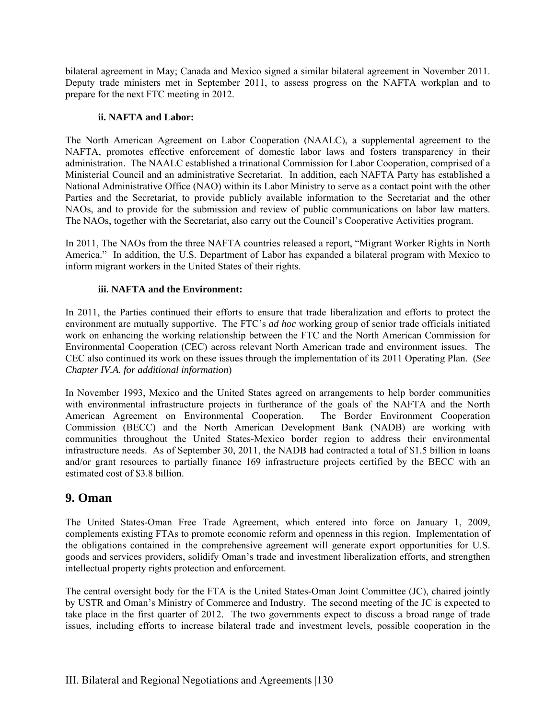bilateral agreement in May; Canada and Mexico signed a similar bilateral agreement in November 2011. Deputy trade ministers met in September 2011, to assess progress on the NAFTA workplan and to prepare for the next FTC meeting in 2012.

#### **ii. NAFTA and Labor:**

The North American Agreement on Labor Cooperation (NAALC), a supplemental agreement to the NAFTA, promotes effective enforcement of domestic labor laws and fosters transparency in their administration. The NAALC established a trinational Commission for Labor Cooperation, comprised of a Ministerial Council and an administrative Secretariat. In addition, each NAFTA Party has established a National Administrative Office (NAO) within its Labor Ministry to serve as a contact point with the other Parties and the Secretariat, to provide publicly available information to the Secretariat and the other NAOs, and to provide for the submission and review of public communications on labor law matters. The NAOs, together with the Secretariat, also carry out the Council's Cooperative Activities program.

In 2011, The NAOs from the three NAFTA countries released a report, "Migrant Worker Rights in North America." In addition, the U.S. Department of Labor has expanded a bilateral program with Mexico to inform migrant workers in the United States of their rights.

#### **iii. NAFTA and the Environment:**

In 2011, the Parties continued their efforts to ensure that trade liberalization and efforts to protect the environment are mutually supportive. The FTC's *ad hoc* working group of senior trade officials initiated work on enhancing the working relationship between the FTC and the North American Commission for Environmental Cooperation (CEC) across relevant North American trade and environment issues. The CEC also continued its work on these issues through the implementation of its 2011 Operating Plan. (*See Chapter IV.A. for additional information*)

In November 1993, Mexico and the United States agreed on arrangements to help border communities with environmental infrastructure projects in furtherance of the goals of the NAFTA and the North American Agreement on Environmental Cooperation. The Border Environment Cooperation Commission (BECC) and the North American Development Bank (NADB) are working with communities throughout the United States-Mexico border region to address their environmental infrastructure needs. As of September 30, 2011, the NADB had contracted a total of \$1.5 billion in loans and/or grant resources to partially finance 169 infrastructure projects certified by the BECC with an estimated cost of \$3.8 billion.

# **9. Oman**

The United States-Oman Free Trade Agreement, which entered into force on January 1, 2009, complements existing FTAs to promote economic reform and openness in this region. Implementation of the obligations contained in the comprehensive agreement will generate export opportunities for U.S. goods and services providers, solidify Oman's trade and investment liberalization efforts, and strengthen intellectual property rights protection and enforcement.

The central oversight body for the FTA is the United States-Oman Joint Committee (JC), chaired jointly by USTR and Oman's Ministry of Commerce and Industry. The second meeting of the JC is expected to take place in the first quarter of 2012. The two governments expect to discuss a broad range of trade issues, including efforts to increase bilateral trade and investment levels, possible cooperation in the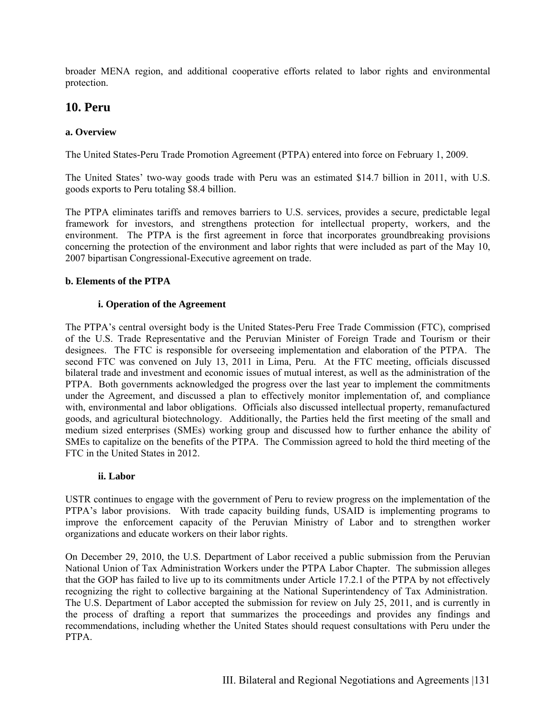broader MENA region, and additional cooperative efforts related to labor rights and environmental protection.

### **10. Peru**

#### **a. Overview**

The United States-Peru Trade Promotion Agreement (PTPA) entered into force on February 1, 2009.

The United States' two-way goods trade with Peru was an estimated \$14.7 billion in 2011, with U.S. goods exports to Peru totaling \$8.4 billion.

The PTPA eliminates tariffs and removes barriers to U.S. services, provides a secure, predictable legal framework for investors, and strengthens protection for intellectual property, workers, and the environment. The PTPA is the first agreement in force that incorporates groundbreaking provisions concerning the protection of the environment and labor rights that were included as part of the May 10, 2007 bipartisan Congressional-Executive agreement on trade.

#### **b. Elements of the PTPA**

#### **i. Operation of the Agreement**

The PTPA's central oversight body is the United States-Peru Free Trade Commission (FTC), comprised of the U.S. Trade Representative and the Peruvian Minister of Foreign Trade and Tourism or their designees. The FTC is responsible for overseeing implementation and elaboration of the PTPA. The second FTC was convened on July 13, 2011 in Lima, Peru. At the FTC meeting, officials discussed bilateral trade and investment and economic issues of mutual interest, as well as the administration of the PTPA. Both governments acknowledged the progress over the last year to implement the commitments under the Agreement, and discussed a plan to effectively monitor implementation of, and compliance with, environmental and labor obligations. Officials also discussed intellectual property, remanufactured goods, and agricultural biotechnology. Additionally, the Parties held the first meeting of the small and medium sized enterprises (SMEs) working group and discussed how to further enhance the ability of SMEs to capitalize on the benefits of the PTPA. The Commission agreed to hold the third meeting of the FTC in the United States in 2012.

#### **ii. Labor**

USTR continues to engage with the government of Peru to review progress on the implementation of the PTPA's labor provisions. With trade capacity building funds, USAID is implementing programs to improve the enforcement capacity of the Peruvian Ministry of Labor and to strengthen worker organizations and educate workers on their labor rights.

On December 29, 2010, the U.S. Department of Labor received a public submission from the Peruvian National Union of Tax Administration Workers under the PTPA Labor Chapter. The submission alleges that the GOP has failed to live up to its commitments under Article 17.2.1 of the PTPA by not effectively recognizing the right to collective bargaining at the National Superintendency of Tax Administration. The U.S. Department of Labor accepted the submission for review on July 25, 2011, and is currently in the process of drafting a report that summarizes the proceedings and provides any findings and recommendations, including whether the United States should request consultations with Peru under the PTPA.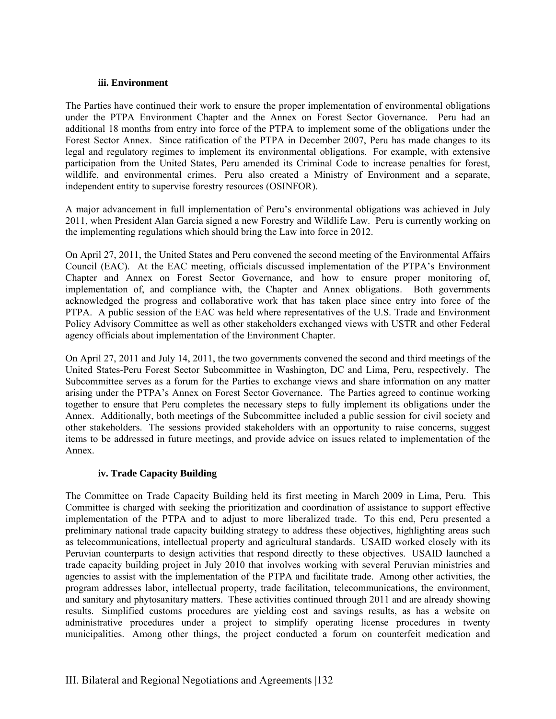#### **iii. Environment**

The Parties have continued their work to ensure the proper implementation of environmental obligations under the PTPA Environment Chapter and the Annex on Forest Sector Governance. Peru had an additional 18 months from entry into force of the PTPA to implement some of the obligations under the Forest Sector Annex. Since ratification of the PTPA in December 2007, Peru has made changes to its legal and regulatory regimes to implement its environmental obligations. For example, with extensive participation from the United States, Peru amended its Criminal Code to increase penalties for forest, wildlife, and environmental crimes. Peru also created a Ministry of Environment and a separate, independent entity to supervise forestry resources (OSINFOR).

A major advancement in full implementation of Peru's environmental obligations was achieved in July 2011, when President Alan Garcia signed a new Forestry and Wildlife Law. Peru is currently working on the implementing regulations which should bring the Law into force in 2012.

On April 27, 2011, the United States and Peru convened the second meeting of the Environmental Affairs Council (EAC). At the EAC meeting, officials discussed implementation of the PTPA's Environment Chapter and Annex on Forest Sector Governance, and how to ensure proper monitoring of, implementation of, and compliance with, the Chapter and Annex obligations. Both governments acknowledged the progress and collaborative work that has taken place since entry into force of the PTPA. A public session of the EAC was held where representatives of the U.S. Trade and Environment Policy Advisory Committee as well as other stakeholders exchanged views with USTR and other Federal agency officials about implementation of the Environment Chapter.

On April 27, 2011 and July 14, 2011, the two governments convened the second and third meetings of the United States-Peru Forest Sector Subcommittee in Washington, DC and Lima, Peru, respectively. The Subcommittee serves as a forum for the Parties to exchange views and share information on any matter arising under the PTPA's Annex on Forest Sector Governance. The Parties agreed to continue working together to ensure that Peru completes the necessary steps to fully implement its obligations under the Annex. Additionally, both meetings of the Subcommittee included a public session for civil society and other stakeholders. The sessions provided stakeholders with an opportunity to raise concerns, suggest items to be addressed in future meetings, and provide advice on issues related to implementation of the Annex.

#### **iv. Trade Capacity Building**

The Committee on Trade Capacity Building held its first meeting in March 2009 in Lima, Peru. This Committee is charged with seeking the prioritization and coordination of assistance to support effective implementation of the PTPA and to adjust to more liberalized trade. To this end, Peru presented a preliminary national trade capacity building strategy to address these objectives, highlighting areas such as telecommunications, intellectual property and agricultural standards. USAID worked closely with its Peruvian counterparts to design activities that respond directly to these objectives. USAID launched a trade capacity building project in July 2010 that involves working with several Peruvian ministries and agencies to assist with the implementation of the PTPA and facilitate trade. Among other activities, the program addresses labor, intellectual property, trade facilitation, telecommunications, the environment, and sanitary and phytosanitary matters. These activities continued through 2011 and are already showing results. Simplified customs procedures are yielding cost and savings results, as has a website on administrative procedures under a project to simplify operating license procedures in twenty municipalities. Among other things, the project conducted a forum on counterfeit medication and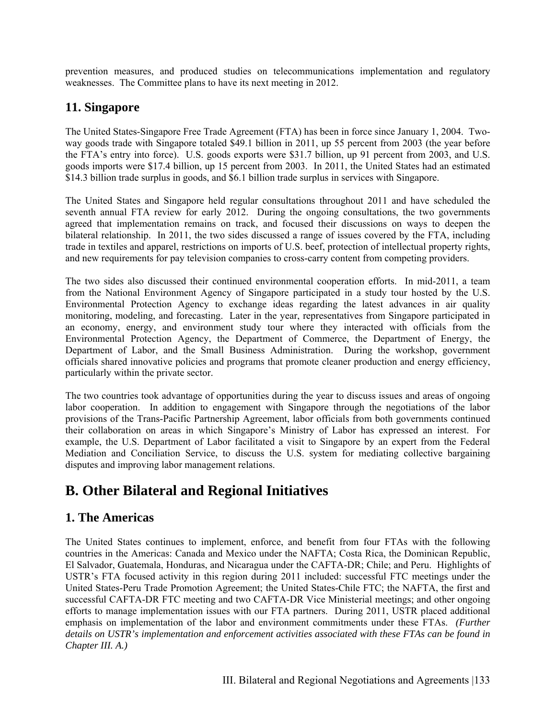prevention measures, and produced studies on telecommunications implementation and regulatory weaknesses. The Committee plans to have its next meeting in 2012.

# **11. Singapore**

The United States-Singapore Free Trade Agreement (FTA) has been in force since January 1, 2004. Twoway goods trade with Singapore totaled \$49.1 billion in 2011, up 55 percent from 2003 (the year before the FTA's entry into force). U.S. goods exports were \$31.7 billion, up 91 percent from 2003, and U.S. goods imports were \$17.4 billion, up 15 percent from 2003. In 2011, the United States had an estimated \$14.3 billion trade surplus in goods, and \$6.1 billion trade surplus in services with Singapore.

The United States and Singapore held regular consultations throughout 2011 and have scheduled the seventh annual FTA review for early 2012. During the ongoing consultations, the two governments agreed that implementation remains on track, and focused their discussions on ways to deepen the bilateral relationship. In 2011, the two sides discussed a range of issues covered by the FTA, including trade in textiles and apparel, restrictions on imports of U.S. beef, protection of intellectual property rights, and new requirements for pay television companies to cross-carry content from competing providers.

The two sides also discussed their continued environmental cooperation efforts. In mid-2011, a team from the National Environment Agency of Singapore participated in a study tour hosted by the U.S. Environmental Protection Agency to exchange ideas regarding the latest advances in air quality monitoring, modeling, and forecasting. Later in the year, representatives from Singapore participated in an economy, energy, and environment study tour where they interacted with officials from the Environmental Protection Agency, the Department of Commerce, the Department of Energy, the Department of Labor, and the Small Business Administration. During the workshop, government officials shared innovative policies and programs that promote cleaner production and energy efficiency, particularly within the private sector.

The two countries took advantage of opportunities during the year to discuss issues and areas of ongoing labor cooperation. In addition to engagement with Singapore through the negotiations of the labor provisions of the Trans-Pacific Partnership Agreement, labor officials from both governments continued their collaboration on areas in which Singapore's Ministry of Labor has expressed an interest. For example, the U.S. Department of Labor facilitated a visit to Singapore by an expert from the Federal Mediation and Conciliation Service, to discuss the U.S. system for mediating collective bargaining disputes and improving labor management relations.

# **B. Other Bilateral and Regional Initiatives**

# **1. The Americas**

The United States continues to implement, enforce, and benefit from four FTAs with the following countries in the Americas: Canada and Mexico under the NAFTA; Costa Rica, the Dominican Republic, El Salvador, Guatemala, Honduras, and Nicaragua under the CAFTA-DR; Chile; and Peru. Highlights of USTR's FTA focused activity in this region during 2011 included: successful FTC meetings under the United States-Peru Trade Promotion Agreement; the United States-Chile FTC; the NAFTA, the first and successful CAFTA-DR FTC meeting and two CAFTA-DR Vice Ministerial meetings; and other ongoing efforts to manage implementation issues with our FTA partners. During 2011, USTR placed additional emphasis on implementation of the labor and environment commitments under these FTAs. *(Further details on USTR's implementation and enforcement activities associated with these FTAs can be found in Chapter III. A.)*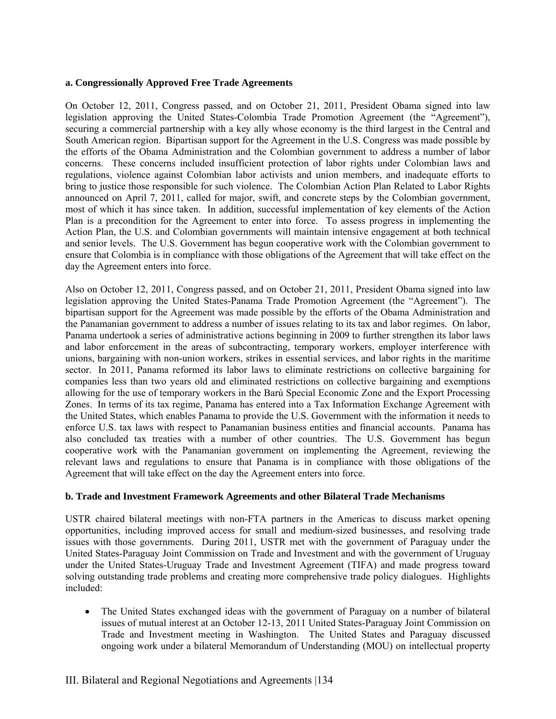#### **a. Congressionally Approved Free Trade Agreements**

On October 12, 2011, Congress passed, and on October 21, 2011, President Obama signed into law legislation approving the United States-Colombia Trade Promotion Agreement (the "Agreement"), securing a commercial partnership with a key ally whose economy is the third largest in the Central and South American region. Bipartisan support for the Agreement in the U.S. Congress was made possible by the efforts of the Obama Administration and the Colombian government to address a number of labor concerns. These concerns included insufficient protection of labor rights under Colombian laws and regulations, violence against Colombian labor activists and union members, and inadequate efforts to bring to justice those responsible for such violence. The Colombian Action Plan Related to Labor Rights announced on April 7, 2011, called for major, swift, and concrete steps by the Colombian government, most of which it has since taken. In addition, successful implementation of key elements of the Action Plan is a precondition for the Agreement to enter into force. To assess progress in implementing the Action Plan, the U.S. and Colombian governments will maintain intensive engagement at both technical and senior levels. The U.S. Government has begun cooperative work with the Colombian government to ensure that Colombia is in compliance with those obligations of the Agreement that will take effect on the day the Agreement enters into force.

Also on October 12, 2011, Congress passed, and on October 21, 2011, President Obama signed into law legislation approving the United States-Panama Trade Promotion Agreement (the "Agreement"). The bipartisan support for the Agreement was made possible by the efforts of the Obama Administration and the Panamanian government to address a number of issues relating to its tax and labor regimes. On labor, Panama undertook a series of administrative actions beginning in 2009 to further strengthen its labor laws and labor enforcement in the areas of subcontracting, temporary workers, employer interference with unions, bargaining with non-union workers, strikes in essential services, and labor rights in the maritime sector. In 2011, Panama reformed its labor laws to eliminate restrictions on collective bargaining for companies less than two years old and eliminated restrictions on collective bargaining and exemptions allowing for the use of temporary workers in the Barú Special Economic Zone and the Export Processing Zones. In terms of its tax regime, Panama has entered into a Tax Information Exchange Agreement with the United States, which enables Panama to provide the U.S. Government with the information it needs to enforce U.S. tax laws with respect to Panamanian business entities and financial accounts. Panama has also concluded tax treaties with a number of other countries. The U.S. Government has begun cooperative work with the Panamanian government on implementing the Agreement, reviewing the relevant laws and regulations to ensure that Panama is in compliance with those obligations of the Agreement that will take effect on the day the Agreement enters into force.

#### **b. Trade and Investment Framework Agreements and other Bilateral Trade Mechanisms**

USTR chaired bilateral meetings with non-FTA partners in the Americas to discuss market opening opportunities, including improved access for small and medium-sized businesses, and resolving trade issues with those governments. During 2011, USTR met with the government of Paraguay under the United States-Paraguay Joint Commission on Trade and Investment and with the government of Uruguay under the United States-Uruguay Trade and Investment Agreement (TIFA) and made progress toward solving outstanding trade problems and creating more comprehensive trade policy dialogues. Highlights included:

• The United States exchanged ideas with the government of Paraguay on a number of bilateral issues of mutual interest at an October 12-13, 2011 United States-Paraguay Joint Commission on Trade and Investment meeting in Washington. The United States and Paraguay discussed ongoing work under a bilateral Memorandum of Understanding (MOU) on intellectual property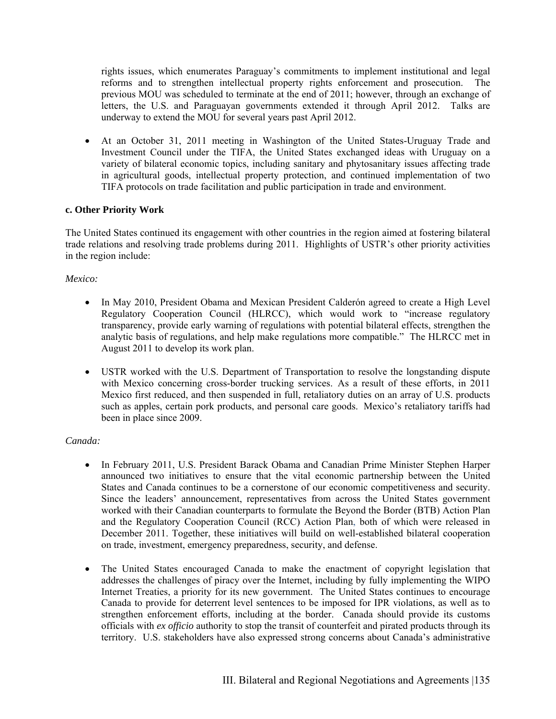rights issues, which enumerates Paraguay's commitments to implement institutional and legal reforms and to strengthen intellectual property rights enforcement and prosecution. The previous MOU was scheduled to terminate at the end of 2011; however, through an exchange of letters, the U.S. and Paraguayan governments extended it through April 2012. Talks are underway to extend the MOU for several years past April 2012.

 At an October 31, 2011 meeting in Washington of the United States-Uruguay Trade and Investment Council under the TIFA, the United States exchanged ideas with Uruguay on a variety of bilateral economic topics, including sanitary and phytosanitary issues affecting trade in agricultural goods, intellectual property protection, and continued implementation of two TIFA protocols on trade facilitation and public participation in trade and environment.

#### **c. Other Priority Work**

The United States continued its engagement with other countries in the region aimed at fostering bilateral trade relations and resolving trade problems during 2011. Highlights of USTR's other priority activities in the region include:

#### *Mexico:*

- In May 2010, President Obama and Mexican President Calderón agreed to create a High Level Regulatory Cooperation Council (HLRCC), which would work to "increase regulatory transparency, provide early warning of regulations with potential bilateral effects, strengthen the analytic basis of regulations, and help make regulations more compatible." The HLRCC met in August 2011 to develop its work plan.
- USTR worked with the U.S. Department of Transportation to resolve the longstanding dispute with Mexico concerning cross-border trucking services. As a result of these efforts, in 2011 Mexico first reduced, and then suspended in full, retaliatory duties on an array of U.S. products such as apples, certain pork products, and personal care goods. Mexico's retaliatory tariffs had been in place since 2009.

#### *Canada:*

- In February 2011, U.S. President Barack Obama and Canadian Prime Minister Stephen Harper announced two initiatives to ensure that the vital economic partnership between the United States and Canada continues to be a cornerstone of our economic competitiveness and security. Since the leaders' announcement, representatives from across the United States government worked with their Canadian counterparts to formulate the Beyond the Border (BTB) Action Plan and the Regulatory Cooperation Council (RCC) Action Plan, both of which were released in December 2011. Together, these initiatives will build on well-established bilateral cooperation on trade, investment, emergency preparedness, security, and defense.
- The United States encouraged Canada to make the enactment of copyright legislation that addresses the challenges of piracy over the Internet, including by fully implementing the WIPO Internet Treaties, a priority for its new government. The United States continues to encourage Canada to provide for deterrent level sentences to be imposed for IPR violations, as well as to strengthen enforcement efforts, including at the border. Canada should provide its customs officials with *ex officio* authority to stop the transit of counterfeit and pirated products through its territory. U.S. stakeholders have also expressed strong concerns about Canada's administrative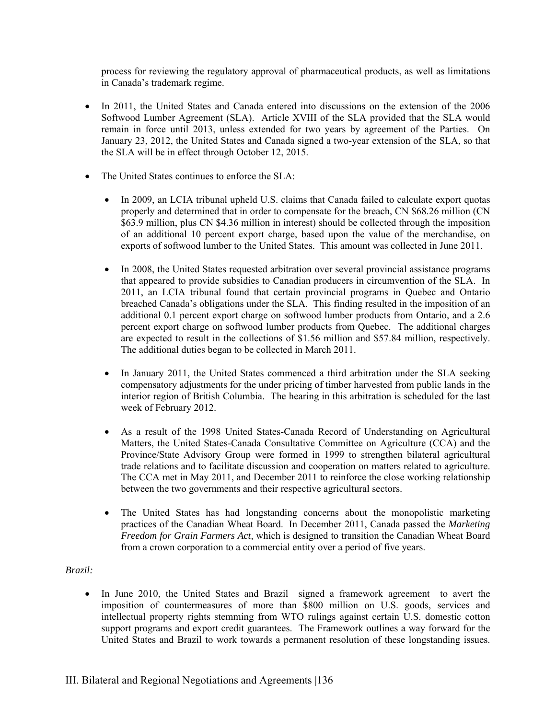process for reviewing the regulatory approval of pharmaceutical products, as well as limitations in Canada's trademark regime.

- In 2011, the United States and Canada entered into discussions on the extension of the 2006 Softwood Lumber Agreement (SLA). Article XVIII of the SLA provided that the SLA would remain in force until 2013, unless extended for two years by agreement of the Parties. On January 23, 2012, the United States and Canada signed a two-year extension of the SLA, so that the SLA will be in effect through October 12, 2015.
- The United States continues to enforce the SLA:
	- In 2009, an LCIA tribunal upheld U.S. claims that Canada failed to calculate export quotas properly and determined that in order to compensate for the breach, CN \$68.26 million (CN \$63.9 million, plus CN \$4.36 million in interest) should be collected through the imposition of an additional 10 percent export charge, based upon the value of the merchandise, on exports of softwood lumber to the United States. This amount was collected in June 2011.
	- In 2008, the United States requested arbitration over several provincial assistance programs that appeared to provide subsidies to Canadian producers in circumvention of the SLA. In 2011, an LCIA tribunal found that certain provincial programs in Quebec and Ontario breached Canada's obligations under the SLA. This finding resulted in the imposition of an additional 0.1 percent export charge on softwood lumber products from Ontario, and a 2.6 percent export charge on softwood lumber products from Quebec. The additional charges are expected to result in the collections of \$1.56 million and \$57.84 million, respectively. The additional duties began to be collected in March 2011.
	- In January 2011, the United States commenced a third arbitration under the SLA seeking compensatory adjustments for the under pricing of timber harvested from public lands in the interior region of British Columbia. The hearing in this arbitration is scheduled for the last week of February 2012.
	- As a result of the 1998 United States-Canada Record of Understanding on Agricultural Matters, the United States-Canada Consultative Committee on Agriculture (CCA) and the Province/State Advisory Group were formed in 1999 to strengthen bilateral agricultural trade relations and to facilitate discussion and cooperation on matters related to agriculture. The CCA met in May 2011, and December 2011 to reinforce the close working relationship between the two governments and their respective agricultural sectors.
	- The United States has had longstanding concerns about the monopolistic marketing practices of the Canadian Wheat Board. In December 2011, Canada passed the *Marketing Freedom for Grain Farmers Act,* which is designed to transition the Canadian Wheat Board from a crown corporation to a commercial entity over a period of five years.

#### *Brazil:*

• In June 2010, the United States and Brazil signed a framework agreement to avert the imposition of countermeasures of more than \$800 million on U.S. goods, services and intellectual property rights stemming from WTO rulings against certain U.S. domestic cotton support programs and export credit guarantees. The Framework outlines a way forward for the United States and Brazil to work towards a permanent resolution of these longstanding issues.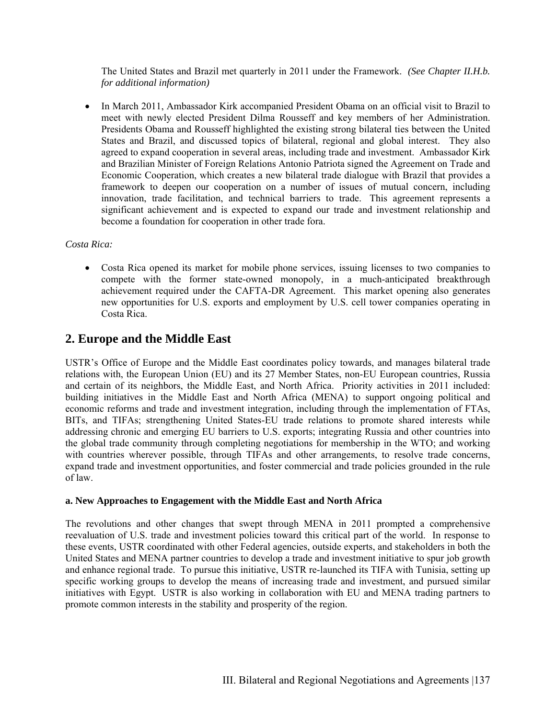The United States and Brazil met quarterly in 2011 under the Framework. *(See Chapter II.H.b. for additional information)*

• In March 2011, Ambassador Kirk accompanied President Obama on an official visit to Brazil to meet with newly elected President Dilma Rousseff and key members of her Administration. Presidents Obama and Rousseff highlighted the existing strong bilateral ties between the United States and Brazil, and discussed topics of bilateral, regional and global interest. They also agreed to expand cooperation in several areas, including trade and investment. Ambassador Kirk and Brazilian Minister of Foreign Relations Antonio Patriota signed the Agreement on Trade and Economic Cooperation, which creates a new bilateral trade dialogue with Brazil that provides a framework to deepen our cooperation on a number of issues of mutual concern, including innovation, trade facilitation, and technical barriers to trade. This agreement represents a significant achievement and is expected to expand our trade and investment relationship and become a foundation for cooperation in other trade fora.

#### *Costa Rica:*

 Costa Rica opened its market for mobile phone services, issuing licenses to two companies to compete with the former state-owned monopoly, in a much-anticipated breakthrough achievement required under the CAFTA-DR Agreement. This market opening also generates new opportunities for U.S. exports and employment by U.S. cell tower companies operating in Costa Rica.

# **2. Europe and the Middle East**

USTR's Office of Europe and the Middle East coordinates policy towards, and manages bilateral trade relations with, the European Union (EU) and its 27 Member States, non-EU European countries, Russia and certain of its neighbors, the Middle East, and North Africa. Priority activities in 2011 included: building initiatives in the Middle East and North Africa (MENA) to support ongoing political and economic reforms and trade and investment integration, including through the implementation of FTAs, BITs, and TIFAs; strengthening United States-EU trade relations to promote shared interests while addressing chronic and emerging EU barriers to U.S. exports; integrating Russia and other countries into the global trade community through completing negotiations for membership in the WTO; and working with countries wherever possible, through TIFAs and other arrangements, to resolve trade concerns, expand trade and investment opportunities, and foster commercial and trade policies grounded in the rule of law.

#### **a. New Approaches to Engagement with the Middle East and North Africa**

The revolutions and other changes that swept through MENA in 2011 prompted a comprehensive reevaluation of U.S. trade and investment policies toward this critical part of the world. In response to these events, USTR coordinated with other Federal agencies, outside experts, and stakeholders in both the United States and MENA partner countries to develop a trade and investment initiative to spur job growth and enhance regional trade. To pursue this initiative, USTR re-launched its TIFA with Tunisia, setting up specific working groups to develop the means of increasing trade and investment, and pursued similar initiatives with Egypt. USTR is also working in collaboration with EU and MENA trading partners to promote common interests in the stability and prosperity of the region.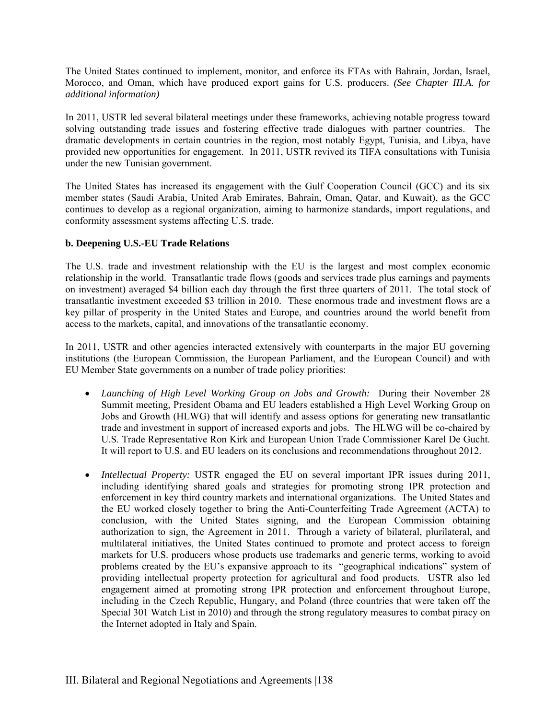The United States continued to implement, monitor, and enforce its FTAs with Bahrain, Jordan, Israel, Morocco, and Oman, which have produced export gains for U.S. producers. *(See Chapter III.A. for additional information)*

In 2011, USTR led several bilateral meetings under these frameworks, achieving notable progress toward solving outstanding trade issues and fostering effective trade dialogues with partner countries. The dramatic developments in certain countries in the region, most notably Egypt, Tunisia, and Libya, have provided new opportunities for engagement. In 2011, USTR revived its TIFA consultations with Tunisia under the new Tunisian government.

The United States has increased its engagement with the Gulf Cooperation Council (GCC) and its six member states (Saudi Arabia, United Arab Emirates, Bahrain, Oman, Qatar, and Kuwait), as the GCC continues to develop as a regional organization, aiming to harmonize standards, import regulations, and conformity assessment systems affecting U.S. trade.

#### **b. Deepening U.S.-EU Trade Relations**

The U.S. trade and investment relationship with the EU is the largest and most complex economic relationship in the world. Transatlantic trade flows (goods and services trade plus earnings and payments on investment) averaged \$4 billion each day through the first three quarters of 2011. The total stock of transatlantic investment exceeded \$3 trillion in 2010. These enormous trade and investment flows are a key pillar of prosperity in the United States and Europe, and countries around the world benefit from access to the markets, capital, and innovations of the transatlantic economy.

In 2011, USTR and other agencies interacted extensively with counterparts in the major EU governing institutions (the European Commission, the European Parliament, and the European Council) and with EU Member State governments on a number of trade policy priorities:

- *Launching of High Level Working Group on Jobs and Growth:* During their November 28 Summit meeting, President Obama and EU leaders established a High Level Working Group on Jobs and Growth (HLWG) that will identify and assess options for generating new transatlantic trade and investment in support of increased exports and jobs. The HLWG will be co-chaired by U.S. Trade Representative Ron Kirk and European Union Trade Commissioner Karel De Gucht. It will report to U.S. and EU leaders on its conclusions and recommendations throughout 2012.
- *Intellectual Property:* USTR engaged the EU on several important IPR issues during 2011, including identifying shared goals and strategies for promoting strong IPR protection and enforcement in key third country markets and international organizations. The United States and the EU worked closely together to bring the Anti-Counterfeiting Trade Agreement (ACTA) to conclusion, with the United States signing, and the European Commission obtaining authorization to sign, the Agreement in 2011. Through a variety of bilateral, plurilateral, and multilateral initiatives, the United States continued to promote and protect access to foreign markets for U.S. producers whose products use trademarks and generic terms, working to avoid problems created by the EU's expansive approach to its "geographical indications" system of providing intellectual property protection for agricultural and food products. USTR also led engagement aimed at promoting strong IPR protection and enforcement throughout Europe, including in the Czech Republic, Hungary, and Poland (three countries that were taken off the Special 301 Watch List in 2010) and through the strong regulatory measures to combat piracy on the Internet adopted in Italy and Spain.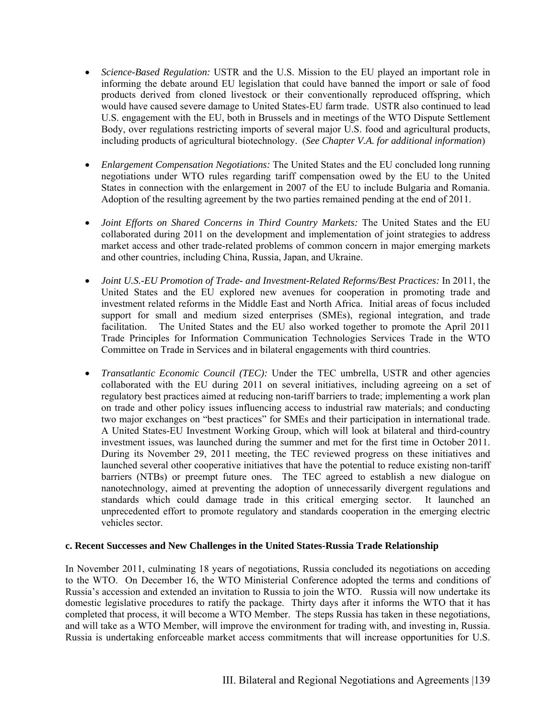- *Science-Based Regulation:* USTR and the U.S. Mission to the EU played an important role in informing the debate around EU legislation that could have banned the import or sale of food products derived from cloned livestock or their conventionally reproduced offspring, which would have caused severe damage to United States-EU farm trade. USTR also continued to lead U.S. engagement with the EU, both in Brussels and in meetings of the WTO Dispute Settlement Body, over regulations restricting imports of several major U.S. food and agricultural products, including products of agricultural biotechnology. (*See Chapter V.A. for additional information*)
- *Enlargement Compensation Negotiations:* The United States and the EU concluded long running negotiations under WTO rules regarding tariff compensation owed by the EU to the United States in connection with the enlargement in 2007 of the EU to include Bulgaria and Romania. Adoption of the resulting agreement by the two parties remained pending at the end of 2011.
- *Joint Efforts on Shared Concerns in Third Country Markets:* The United States and the EU collaborated during 2011 on the development and implementation of joint strategies to address market access and other trade-related problems of common concern in major emerging markets and other countries, including China, Russia, Japan, and Ukraine.
- *Joint U.S.-EU Promotion of Trade- and Investment-Related Reforms/Best Practices:* In 2011, the United States and the EU explored new avenues for cooperation in promoting trade and investment related reforms in the Middle East and North Africa. Initial areas of focus included support for small and medium sized enterprises (SMEs), regional integration, and trade facilitation. The United States and the EU also worked together to promote the April 2011 Trade Principles for Information Communication Technologies Services Trade in the WTO Committee on Trade in Services and in bilateral engagements with third countries.
- *Transatlantic Economic Council (TEC):* Under the TEC umbrella, USTR and other agencies collaborated with the EU during 2011 on several initiatives, including agreeing on a set of regulatory best practices aimed at reducing non-tariff barriers to trade; implementing a work plan on trade and other policy issues influencing access to industrial raw materials; and conducting two major exchanges on "best practices" for SMEs and their participation in international trade. A United States-EU Investment Working Group, which will look at bilateral and third-country investment issues, was launched during the summer and met for the first time in October 2011. During its November 29, 2011 meeting, the TEC reviewed progress on these initiatives and launched several other cooperative initiatives that have the potential to reduce existing non-tariff barriers (NTBs) or preempt future ones. The TEC agreed to establish a new dialogue on nanotechnology, aimed at preventing the adoption of unnecessarily divergent regulations and standards which could damage trade in this critical emerging sector. It launched an unprecedented effort to promote regulatory and standards cooperation in the emerging electric vehicles sector.

#### **c. Recent Successes and New Challenges in the United States-Russia Trade Relationship**

In November 2011, culminating 18 years of negotiations, Russia concluded its negotiations on acceding to the WTO. On December 16, the WTO Ministerial Conference adopted the terms and conditions of Russia's accession and extended an invitation to Russia to join the WTO. Russia will now undertake its domestic legislative procedures to ratify the package. Thirty days after it informs the WTO that it has completed that process, it will become a WTO Member. The steps Russia has taken in these negotiations, and will take as a WTO Member, will improve the environment for trading with, and investing in, Russia. Russia is undertaking enforceable market access commitments that will increase opportunities for U.S.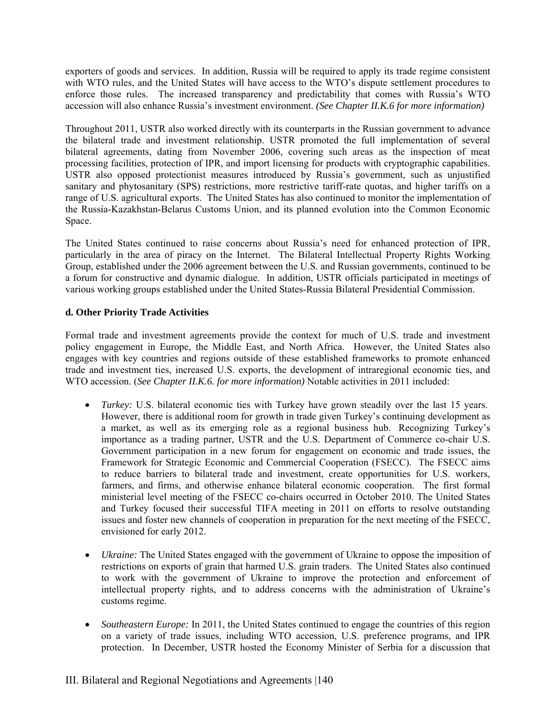exporters of goods and services. In addition, Russia will be required to apply its trade regime consistent with WTO rules, and the United States will have access to the WTO's dispute settlement procedures to enforce those rules. The increased transparency and predictability that comes with Russia's WTO accession will also enhance Russia's investment environment. *(See Chapter II.K.6 for more information)*

Throughout 2011, USTR also worked directly with its counterparts in the Russian government to advance the bilateral trade and investment relationship. USTR promoted the full implementation of several bilateral agreements, dating from November 2006, covering such areas as the inspection of meat processing facilities, protection of IPR, and import licensing for products with cryptographic capabilities. USTR also opposed protectionist measures introduced by Russia's government, such as unjustified sanitary and phytosanitary (SPS) restrictions, more restrictive tariff-rate quotas, and higher tariffs on a range of U.S. agricultural exports. The United States has also continued to monitor the implementation of the Russia-Kazakhstan-Belarus Customs Union, and its planned evolution into the Common Economic Space.

The United States continued to raise concerns about Russia's need for enhanced protection of IPR, particularly in the area of piracy on the Internet. The Bilateral Intellectual Property Rights Working Group, established under the 2006 agreement between the U.S. and Russian governments, continued to be a forum for constructive and dynamic dialogue. In addition, USTR officials participated in meetings of various working groups established under the United States-Russia Bilateral Presidential Commission.

#### **d. Other Priority Trade Activities**

Formal trade and investment agreements provide the context for much of U.S. trade and investment policy engagement in Europe, the Middle East, and North Africa. However, the United States also engages with key countries and regions outside of these established frameworks to promote enhanced trade and investment ties, increased U.S. exports, the development of intraregional economic ties, and WTO accession. (*See Chapter II.K.6. for more information)* Notable activities in 2011 included:

- *Turkey:* U.S. bilateral economic ties with Turkey have grown steadily over the last 15 years. However, there is additional room for growth in trade given Turkey's continuing development as a market, as well as its emerging role as a regional business hub. Recognizing Turkey's importance as a trading partner, USTR and the U.S. Department of Commerce co-chair U.S. Government participation in a new forum for engagement on economic and trade issues, the Framework for Strategic Economic and Commercial Cooperation (FSECC). The FSECC aims to reduce barriers to bilateral trade and investment, create opportunities for U.S. workers, farmers, and firms, and otherwise enhance bilateral economic cooperation. The first formal ministerial level meeting of the FSECC co-chairs occurred in October 2010. The United States and Turkey focused their successful TIFA meeting in 2011 on efforts to resolve outstanding issues and foster new channels of cooperation in preparation for the next meeting of the FSECC, envisioned for early 2012.
- *Ukraine:* The United States engaged with the government of Ukraine to oppose the imposition of restrictions on exports of grain that harmed U.S. grain traders. The United States also continued to work with the government of Ukraine to improve the protection and enforcement of intellectual property rights, and to address concerns with the administration of Ukraine's customs regime.
- *Southeastern Europe:* In 2011, the United States continued to engage the countries of this region on a variety of trade issues, including WTO accession, U.S. preference programs, and IPR protection. In December, USTR hosted the Economy Minister of Serbia for a discussion that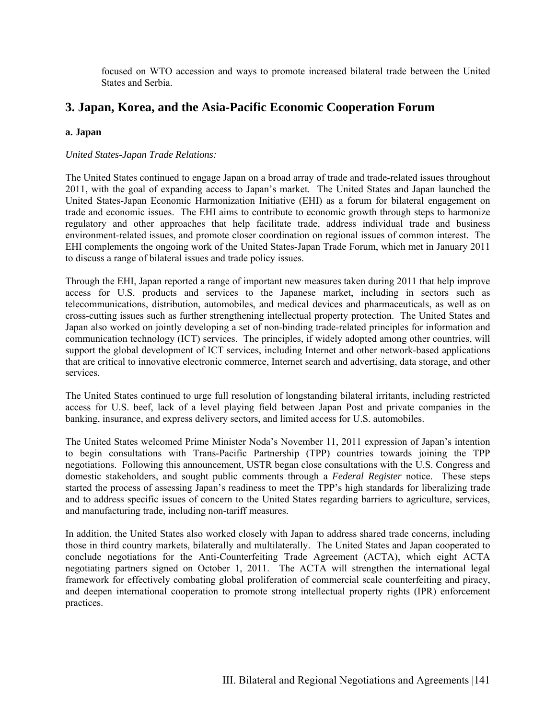focused on WTO accession and ways to promote increased bilateral trade between the United States and Serbia.

### **3. Japan, Korea, and the Asia-Pacific Economic Cooperation Forum**

#### **a. Japan**

#### *United States-Japan Trade Relations:*

The United States continued to engage Japan on a broad array of trade and trade-related issues throughout 2011, with the goal of expanding access to Japan's market. The United States and Japan launched the United States-Japan Economic Harmonization Initiative (EHI) as a forum for bilateral engagement on trade and economic issues. The EHI aims to contribute to economic growth through steps to harmonize regulatory and other approaches that help facilitate trade, address individual trade and business environment-related issues, and promote closer coordination on regional issues of common interest. The EHI complements the ongoing work of the United States-Japan Trade Forum, which met in January 2011 to discuss a range of bilateral issues and trade policy issues.

Through the EHI, Japan reported a range of important new measures taken during 2011 that help improve access for U.S. products and services to the Japanese market, including in sectors such as telecommunications, distribution, automobiles, and medical devices and pharmaceuticals, as well as on cross-cutting issues such as further strengthening intellectual property protection. The United States and Japan also worked on jointly developing a set of non-binding trade-related principles for information and communication technology (ICT) services. The principles, if widely adopted among other countries, will support the global development of ICT services, including Internet and other network-based applications that are critical to innovative electronic commerce, Internet search and advertising, data storage, and other services.

The United States continued to urge full resolution of longstanding bilateral irritants, including restricted access for U.S. beef, lack of a level playing field between Japan Post and private companies in the banking, insurance, and express delivery sectors, and limited access for U.S. automobiles.

The United States welcomed Prime Minister Noda's November 11, 2011 expression of Japan's intention to begin consultations with Trans-Pacific Partnership (TPP) countries towards joining the TPP negotiations. Following this announcement, USTR began close consultations with the U.S. Congress and domestic stakeholders, and sought public comments through a *Federal Register* notice. These steps started the process of assessing Japan's readiness to meet the TPP's high standards for liberalizing trade and to address specific issues of concern to the United States regarding barriers to agriculture, services, and manufacturing trade, including non-tariff measures.

In addition, the United States also worked closely with Japan to address shared trade concerns, including those in third country markets, bilaterally and multilaterally. The United States and Japan cooperated to conclude negotiations for the Anti-Counterfeiting Trade Agreement (ACTA), which eight ACTA negotiating partners signed on October 1, 2011. The ACTA will strengthen the international legal framework for effectively combating global proliferation of commercial scale counterfeiting and piracy, and deepen international cooperation to promote strong intellectual property rights (IPR) enforcement practices.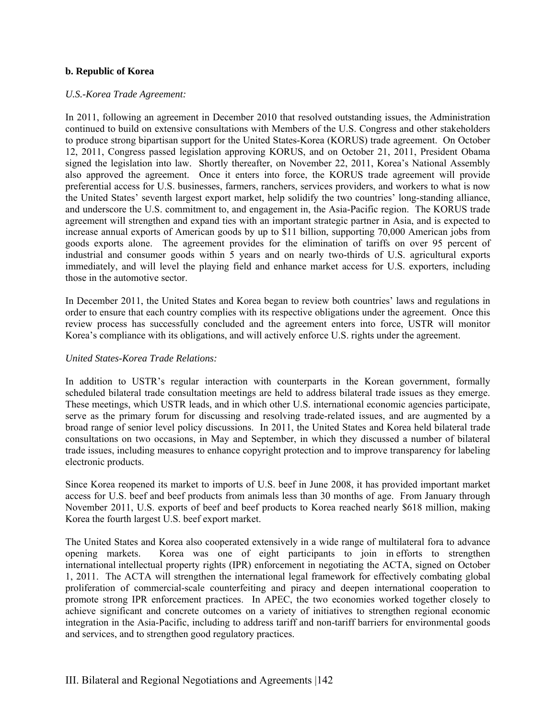#### **b. Republic of Korea**

#### *U.S.-Korea Trade Agreement:*

In 2011, following an agreement in December 2010 that resolved outstanding issues, the Administration continued to build on extensive consultations with Members of the U.S. Congress and other stakeholders to produce strong bipartisan support for the United States-Korea (KORUS) trade agreement. On October 12, 2011, Congress passed legislation approving KORUS, and on October 21, 2011, President Obama signed the legislation into law. Shortly thereafter, on November 22, 2011, Korea's National Assembly also approved the agreement. Once it enters into force, the KORUS trade agreement will provide preferential access for U.S. businesses, farmers, ranchers, services providers, and workers to what is now the United States' seventh largest export market, help solidify the two countries' long-standing alliance, and underscore the U.S. commitment to, and engagement in, the Asia-Pacific region. The KORUS trade agreement will strengthen and expand ties with an important strategic partner in Asia, and is expected to increase annual exports of American goods by up to \$11 billion, supporting 70,000 American jobs from goods exports alone. The agreement provides for the elimination of tariffs on over 95 percent of industrial and consumer goods within 5 years and on nearly two-thirds of U.S. agricultural exports immediately, and will level the playing field and enhance market access for U.S. exporters, including those in the automotive sector.

In December 2011, the United States and Korea began to review both countries' laws and regulations in order to ensure that each country complies with its respective obligations under the agreement. Once this review process has successfully concluded and the agreement enters into force, USTR will monitor Korea's compliance with its obligations, and will actively enforce U.S. rights under the agreement.

#### *United States-Korea Trade Relations:*

In addition to USTR's regular interaction with counterparts in the Korean government, formally scheduled bilateral trade consultation meetings are held to address bilateral trade issues as they emerge. These meetings, which USTR leads, and in which other U.S. international economic agencies participate, serve as the primary forum for discussing and resolving trade-related issues, and are augmented by a broad range of senior level policy discussions. In 2011, the United States and Korea held bilateral trade consultations on two occasions, in May and September, in which they discussed a number of bilateral trade issues, including measures to enhance copyright protection and to improve transparency for labeling electronic products.

Since Korea reopened its market to imports of U.S. beef in June 2008, it has provided important market access for U.S. beef and beef products from animals less than 30 months of age. From January through November 2011, U.S. exports of beef and beef products to Korea reached nearly \$618 million, making Korea the fourth largest U.S. beef export market.

The United States and Korea also cooperated extensively in a wide range of multilateral fora to advance opening markets. Korea was one of eight participants to join in efforts to strengthen international intellectual property rights (IPR) enforcement in negotiating the ACTA, signed on October 1, 2011. The ACTA will strengthen the international legal framework for effectively combating global proliferation of commercial-scale counterfeiting and piracy and deepen international cooperation to promote strong IPR enforcement practices. In APEC, the two economies worked together closely to achieve significant and concrete outcomes on a variety of initiatives to strengthen regional economic integration in the Asia-Pacific, including to address tariff and non-tariff barriers for environmental goods and services, and to strengthen good regulatory practices.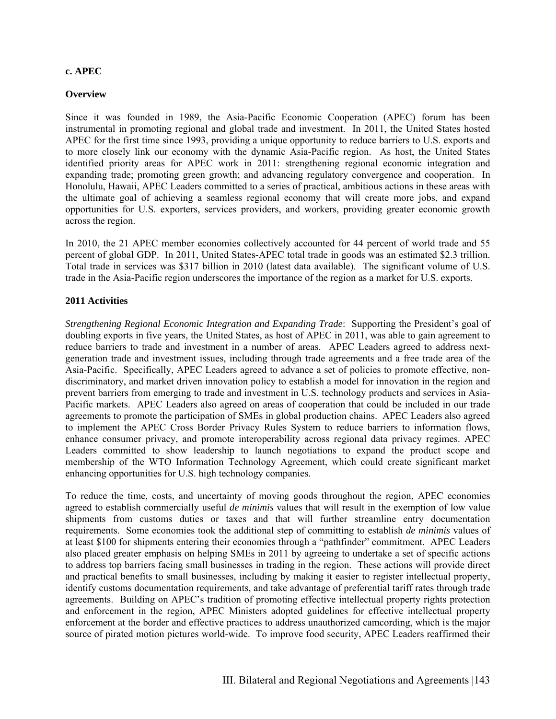#### **c. APEC**

#### **Overview**

Since it was founded in 1989, the Asia-Pacific Economic Cooperation (APEC) forum has been instrumental in promoting regional and global trade and investment. In 2011, the United States hosted APEC for the first time since 1993, providing a unique opportunity to reduce barriers to U.S. exports and to more closely link our economy with the dynamic Asia-Pacific region. As host, the United States identified priority areas for APEC work in 2011: strengthening regional economic integration and expanding trade; promoting green growth; and advancing regulatory convergence and cooperation. In Honolulu, Hawaii, APEC Leaders committed to a series of practical, ambitious actions in these areas with the ultimate goal of achieving a seamless regional economy that will create more jobs, and expand opportunities for U.S. exporters, services providers, and workers, providing greater economic growth across the region.

In 2010, the 21 APEC member economies collectively accounted for 44 percent of world trade and 55 percent of global GDP. In 2011, United States**-**APEC total trade in goods was an estimated \$2.3 trillion. Total trade in services was \$317 billion in 2010 (latest data available). The significant volume of U.S. trade in the Asia-Pacific region underscores the importance of the region as a market for U.S. exports.

#### **2011 Activities**

*Strengthening Regional Economic Integration and Expanding Trade*: Supporting the President's goal of doubling exports in five years, the United States, as host of APEC in 2011, was able to gain agreement to reduce barriers to trade and investment in a number of areas. APEC Leaders agreed to address nextgeneration trade and investment issues, including through trade agreements and a free trade area of the Asia-Pacific. Specifically, APEC Leaders agreed to advance a set of policies to promote effective, nondiscriminatory, and market driven innovation policy to establish a model for innovation in the region and prevent barriers from emerging to trade and investment in U.S. technology products and services in Asia-Pacific markets. APEC Leaders also agreed on areas of cooperation that could be included in our trade agreements to promote the participation of SMEs in global production chains. APEC Leaders also agreed to implement the APEC Cross Border Privacy Rules System to reduce barriers to information flows, enhance consumer privacy, and promote interoperability across regional data privacy regimes. APEC Leaders committed to show leadership to launch negotiations to expand the product scope and membership of the WTO Information Technology Agreement, which could create significant market enhancing opportunities for U.S. high technology companies.

To reduce the time, costs, and uncertainty of moving goods throughout the region, APEC economies agreed to establish commercially useful *de minimis* values that will result in the exemption of low value shipments from customs duties or taxes and that will further streamline entry documentation requirements. Some economies took the additional step of committing to establish *de minimis* values of at least \$100 for shipments entering their economies through a "pathfinder" commitment. APEC Leaders also placed greater emphasis on helping SMEs in 2011 by agreeing to undertake a set of specific actions to address top barriers facing small businesses in trading in the region. These actions will provide direct and practical benefits to small businesses, including by making it easier to register intellectual property, identify customs documentation requirements, and take advantage of preferential tariff rates through trade agreements. Building on APEC's tradition of promoting effective intellectual property rights protection and enforcement in the region, APEC Ministers adopted guidelines for effective intellectual property enforcement at the border and effective practices to address unauthorized camcording, which is the major source of pirated motion pictures world-wide. To improve food security, APEC Leaders reaffirmed their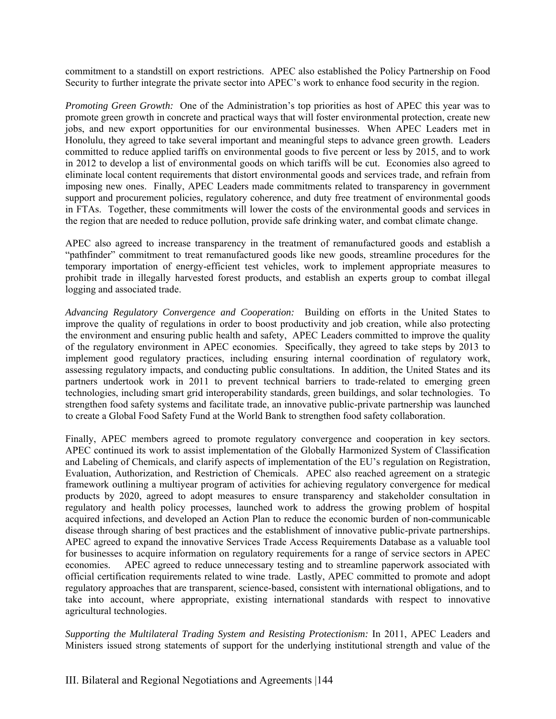commitment to a standstill on export restrictions. APEC also established the Policy Partnership on Food Security to further integrate the private sector into APEC's work to enhance food security in the region.

*Promoting Green Growth:* One of the Administration's top priorities as host of APEC this year was to promote green growth in concrete and practical ways that will foster environmental protection, create new jobs, and new export opportunities for our environmental businesses. When APEC Leaders met in Honolulu, they agreed to take several important and meaningful steps to advance green growth. Leaders committed to reduce applied tariffs on environmental goods to five percent or less by 2015, and to work in 2012 to develop a list of environmental goods on which tariffs will be cut. Economies also agreed to eliminate local content requirements that distort environmental goods and services trade, and refrain from imposing new ones. Finally, APEC Leaders made commitments related to transparency in government support and procurement policies, regulatory coherence, and duty free treatment of environmental goods in FTAs. Together, these commitments will lower the costs of the environmental goods and services in the region that are needed to reduce pollution, provide safe drinking water, and combat climate change.

APEC also agreed to increase transparency in the treatment of remanufactured goods and establish a "pathfinder" commitment to treat remanufactured goods like new goods, streamline procedures for the temporary importation of energy-efficient test vehicles, work to implement appropriate measures to prohibit trade in illegally harvested forest products, and establish an experts group to combat illegal logging and associated trade.

*Advancing Regulatory Convergence and Cooperation:* Building on efforts in the United States to improve the quality of regulations in order to boost productivity and job creation, while also protecting the environment and ensuring public health and safety, APEC Leaders committed to improve the quality of the regulatory environment in APEC economies. Specifically, they agreed to take steps by 2013 to implement good regulatory practices, including ensuring internal coordination of regulatory work, assessing regulatory impacts, and conducting public consultations. In addition, the United States and its partners undertook work in 2011 to prevent technical barriers to trade-related to emerging green technologies, including smart grid interoperability standards, green buildings, and solar technologies. To strengthen food safety systems and facilitate trade, an innovative public-private partnership was launched to create a Global Food Safety Fund at the World Bank to strengthen food safety collaboration.

Finally, APEC members agreed to promote regulatory convergence and cooperation in key sectors. APEC continued its work to assist implementation of the Globally Harmonized System of Classification and Labeling of Chemicals, and clarify aspects of implementation of the EU's regulation on Registration, Evaluation, Authorization, and Restriction of Chemicals. APEC also reached agreement on a strategic framework outlining a multiyear program of activities for achieving regulatory convergence for medical products by 2020, agreed to adopt measures to ensure transparency and stakeholder consultation in regulatory and health policy processes, launched work to address the growing problem of hospital acquired infections, and developed an Action Plan to reduce the economic burden of non-communicable disease through sharing of best practices and the establishment of innovative public-private partnerships. APEC agreed to expand the innovative Services Trade Access Requirements Database as a valuable tool for businesses to acquire information on regulatory requirements for a range of service sectors in APEC economies. APEC agreed to reduce unnecessary testing and to streamline paperwork associated with official certification requirements related to wine trade. Lastly, APEC committed to promote and adopt regulatory approaches that are transparent, science-based, consistent with international obligations, and to take into account, where appropriate, existing international standards with respect to innovative agricultural technologies.

*Supporting the Multilateral Trading System and Resisting Protectionism:* In 2011, APEC Leaders and Ministers issued strong statements of support for the underlying institutional strength and value of the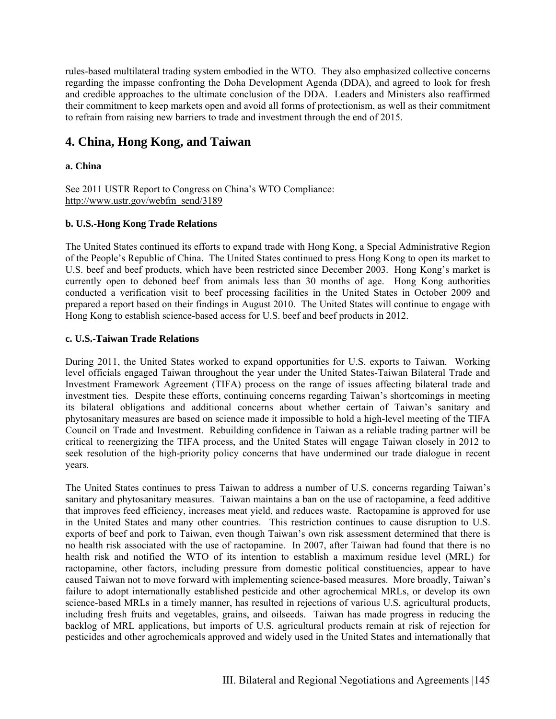rules-based multilateral trading system embodied in the WTO. They also emphasized collective concerns regarding the impasse confronting the Doha Development Agenda (DDA), and agreed to look for fresh and credible approaches to the ultimate conclusion of the DDA. Leaders and Ministers also reaffirmed their commitment to keep markets open and avoid all forms of protectionism, as well as their commitment to refrain from raising new barriers to trade and investment through the end of 2015.

# **4. China, Hong Kong, and Taiwan**

#### **a. China**

See 2011 USTR Report to Congress on China's WTO Compliance: http://www.ustr.gov/webfm\_send/3189

#### **b. U.S.-Hong Kong Trade Relations**

The United States continued its efforts to expand trade with Hong Kong, a Special Administrative Region of the People's Republic of China. The United States continued to press Hong Kong to open its market to U.S. beef and beef products, which have been restricted since December 2003. Hong Kong's market is currently open to deboned beef from animals less than 30 months of age. Hong Kong authorities conducted a verification visit to beef processing facilities in the United States in October 2009 and prepared a report based on their findings in August 2010. The United States will continue to engage with Hong Kong to establish science-based access for U.S. beef and beef products in 2012.

#### **c. U.S.-Taiwan Trade Relations**

During 2011, the United States worked to expand opportunities for U.S. exports to Taiwan. Working level officials engaged Taiwan throughout the year under the United States-Taiwan Bilateral Trade and Investment Framework Agreement (TIFA) process on the range of issues affecting bilateral trade and investment ties. Despite these efforts, continuing concerns regarding Taiwan's shortcomings in meeting its bilateral obligations and additional concerns about whether certain of Taiwan's sanitary and phytosanitary measures are based on science made it impossible to hold a high-level meeting of the TIFA Council on Trade and Investment. Rebuilding confidence in Taiwan as a reliable trading partner will be critical to reenergizing the TIFA process, and the United States will engage Taiwan closely in 2012 to seek resolution of the high-priority policy concerns that have undermined our trade dialogue in recent years.

The United States continues to press Taiwan to address a number of U.S. concerns regarding Taiwan's sanitary and phytosanitary measures. Taiwan maintains a ban on the use of ractopamine, a feed additive that improves feed efficiency, increases meat yield, and reduces waste. Ractopamine is approved for use in the United States and many other countries. This restriction continues to cause disruption to U.S. exports of beef and pork to Taiwan, even though Taiwan's own risk assessment determined that there is no health risk associated with the use of ractopamine. In 2007, after Taiwan had found that there is no health risk and notified the WTO of its intention to establish a maximum residue level (MRL) for ractopamine, other factors, including pressure from domestic political constituencies, appear to have caused Taiwan not to move forward with implementing science-based measures. More broadly, Taiwan's failure to adopt internationally established pesticide and other agrochemical MRLs, or develop its own science-based MRLs in a timely manner, has resulted in rejections of various U.S. agricultural products, including fresh fruits and vegetables, grains, and oilseeds. Taiwan has made progress in reducing the backlog of MRL applications, but imports of U.S. agricultural products remain at risk of rejection for pesticides and other agrochemicals approved and widely used in the United States and internationally that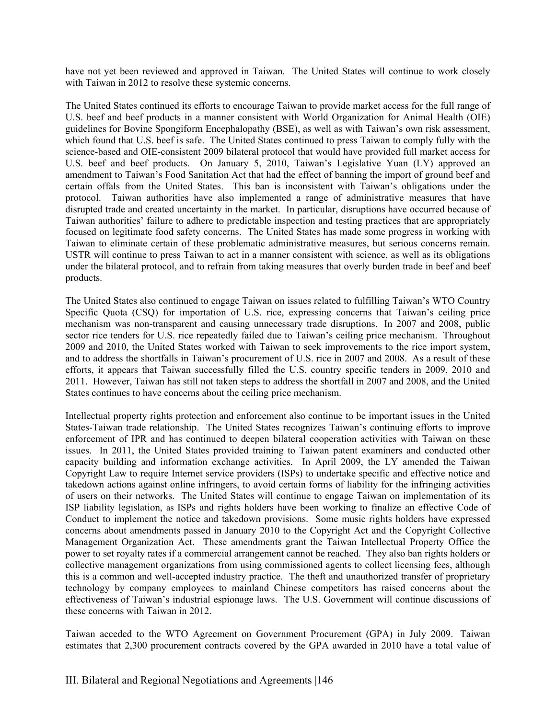have not yet been reviewed and approved in Taiwan. The United States will continue to work closely with Taiwan in 2012 to resolve these systemic concerns.

The United States continued its efforts to encourage Taiwan to provide market access for the full range of U.S. beef and beef products in a manner consistent with World Organization for Animal Health (OIE) guidelines for Bovine Spongiform Encephalopathy (BSE), as well as with Taiwan's own risk assessment, which found that U.S. beef is safe. The United States continued to press Taiwan to comply fully with the science-based and OIE-consistent 2009 bilateral protocol that would have provided full market access for U.S. beef and beef products. On January 5, 2010, Taiwan's Legislative Yuan (LY) approved an amendment to Taiwan's Food Sanitation Act that had the effect of banning the import of ground beef and certain offals from the United States. This ban is inconsistent with Taiwan's obligations under the protocol. Taiwan authorities have also implemented a range of administrative measures that have disrupted trade and created uncertainty in the market. In particular, disruptions have occurred because of Taiwan authorities' failure to adhere to predictable inspection and testing practices that are appropriately focused on legitimate food safety concerns. The United States has made some progress in working with Taiwan to eliminate certain of these problematic administrative measures, but serious concerns remain. USTR will continue to press Taiwan to act in a manner consistent with science, as well as its obligations under the bilateral protocol, and to refrain from taking measures that overly burden trade in beef and beef products.

The United States also continued to engage Taiwan on issues related to fulfilling Taiwan's WTO Country Specific Quota (CSQ) for importation of U.S. rice, expressing concerns that Taiwan's ceiling price mechanism was non-transparent and causing unnecessary trade disruptions. In 2007 and 2008, public sector rice tenders for U.S. rice repeatedly failed due to Taiwan's ceiling price mechanism. Throughout 2009 and 2010, the United States worked with Taiwan to seek improvements to the rice import system, and to address the shortfalls in Taiwan's procurement of U.S. rice in 2007 and 2008. As a result of these efforts, it appears that Taiwan successfully filled the U.S. country specific tenders in 2009, 2010 and 2011. However, Taiwan has still not taken steps to address the shortfall in 2007 and 2008, and the United States continues to have concerns about the ceiling price mechanism.

Intellectual property rights protection and enforcement also continue to be important issues in the United States-Taiwan trade relationship. The United States recognizes Taiwan's continuing efforts to improve enforcement of IPR and has continued to deepen bilateral cooperation activities with Taiwan on these issues. In 2011, the United States provided training to Taiwan patent examiners and conducted other capacity building and information exchange activities. In April 2009, the LY amended the Taiwan Copyright Law to require Internet service providers (ISPs) to undertake specific and effective notice and takedown actions against online infringers, to avoid certain forms of liability for the infringing activities of users on their networks. The United States will continue to engage Taiwan on implementation of its ISP liability legislation, as ISPs and rights holders have been working to finalize an effective Code of Conduct to implement the notice and takedown provisions. Some music rights holders have expressed concerns about amendments passed in January 2010 to the Copyright Act and the Copyright Collective Management Organization Act. These amendments grant the Taiwan Intellectual Property Office the power to set royalty rates if a commercial arrangement cannot be reached. They also ban rights holders or collective management organizations from using commissioned agents to collect licensing fees, although this is a common and well-accepted industry practice. The theft and unauthorized transfer of proprietary technology by company employees to mainland Chinese competitors has raised concerns about the effectiveness of Taiwan's industrial espionage laws. The U.S. Government will continue discussions of these concerns with Taiwan in 2012.

Taiwan acceded to the WTO Agreement on Government Procurement (GPA) in July 2009. Taiwan estimates that 2,300 procurement contracts covered by the GPA awarded in 2010 have a total value of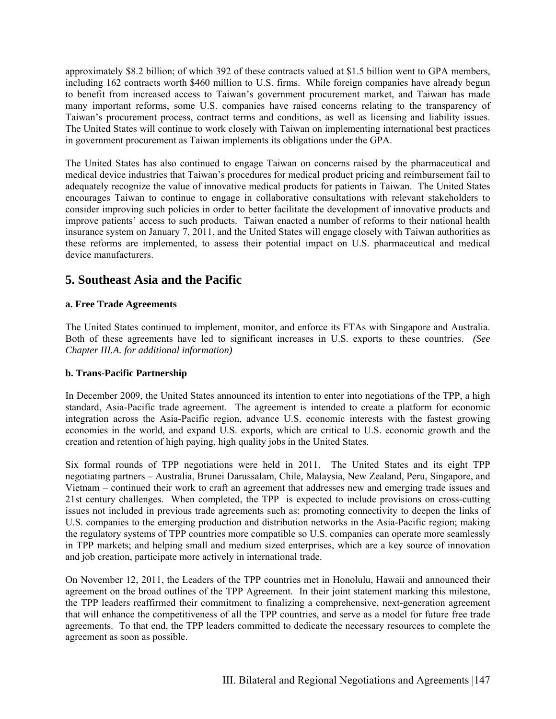approximately \$8.2 billion; of which 392 of these contracts valued at \$1.5 billion went to GPA members, including 162 contracts worth \$460 million to U.S. firms. While foreign companies have already begun to benefit from increased access to Taiwan's government procurement market, and Taiwan has made many important reforms, some U.S. companies have raised concerns relating to the transparency of Taiwan's procurement process, contract terms and conditions, as well as licensing and liability issues. The United States will continue to work closely with Taiwan on implementing international best practices in government procurement as Taiwan implements its obligations under the GPA.

The United States has also continued to engage Taiwan on concerns raised by the pharmaceutical and medical device industries that Taiwan's procedures for medical product pricing and reimbursement fail to adequately recognize the value of innovative medical products for patients in Taiwan. The United States encourages Taiwan to continue to engage in collaborative consultations with relevant stakeholders to consider improving such policies in order to better facilitate the development of innovative products and improve patients' access to such products. Taiwan enacted a number of reforms to their national health insurance system on January 7, 2011, and the United States will engage closely with Taiwan authorities as these reforms are implemented, to assess their potential impact on U.S. pharmaceutical and medical device manufacturers.

# **5. Southeast Asia and the Pacific**

#### **a. Free Trade Agreements**

The United States continued to implement, monitor, and enforce its FTAs with Singapore and Australia. Both of these agreements have led to significant increases in U.S. exports to these countries. *(See Chapter III.A. for additional information)*

#### **b. Trans-Pacific Partnership**

In December 2009, the United States announced its intention to enter into negotiations of the TPP, a high standard, Asia-Pacific trade agreement. The agreement is intended to create a platform for economic integration across the Asia-Pacific region, advance U.S. economic interests with the fastest growing economies in the world, and expand U.S. exports, which are critical to U.S. economic growth and the creation and retention of high paying, high quality jobs in the United States.

Six formal rounds of TPP negotiations were held in 2011. The United States and its eight TPP negotiating partners – Australia, Brunei Darussalam, Chile, Malaysia, New Zealand, Peru, Singapore, and Vietnam – continued their work to craft an agreement that addresses new and emerging trade issues and 21st century challenges. When completed, the TPP is expected to include provisions on cross-cutting issues not included in previous trade agreements such as: promoting connectivity to deepen the links of U.S. companies to the emerging production and distribution networks in the Asia-Pacific region; making the regulatory systems of TPP countries more compatible so U.S. companies can operate more seamlessly in TPP markets; and helping small and medium sized enterprises, which are a key source of innovation and job creation, participate more actively in international trade.

On November 12, 2011, the Leaders of the TPP countries met in Honolulu, Hawaii and announced their agreement on the broad outlines of the TPP Agreement. In their joint statement marking this milestone, the TPP leaders reaffirmed their commitment to finalizing a comprehensive, next-generation agreement that will enhance the competitiveness of all the TPP countries, and serve as a model for future free trade agreements. To that end, the TPP leaders committed to dedicate the necessary resources to complete the agreement as soon as possible.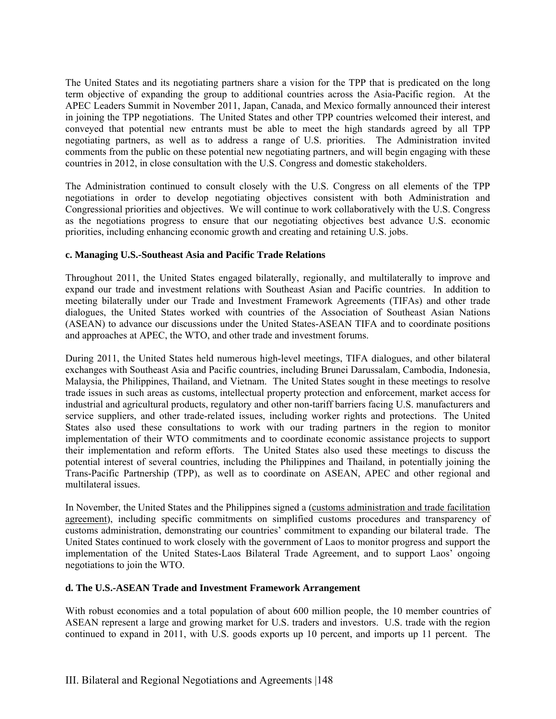The United States and its negotiating partners share a vision for the TPP that is predicated on the long term objective of expanding the group to additional countries across the Asia-Pacific region. At the APEC Leaders Summit in November 2011, Japan, Canada, and Mexico formally announced their interest in joining the TPP negotiations. The United States and other TPP countries welcomed their interest, and conveyed that potential new entrants must be able to meet the high standards agreed by all TPP negotiating partners, as well as to address a range of U.S. priorities. The Administration invited comments from the public on these potential new negotiating partners, and will begin engaging with these countries in 2012, in close consultation with the U.S. Congress and domestic stakeholders.

The Administration continued to consult closely with the U.S. Congress on all elements of the TPP negotiations in order to develop negotiating objectives consistent with both Administration and Congressional priorities and objectives. We will continue to work collaboratively with the U.S. Congress as the negotiations progress to ensure that our negotiating objectives best advance U.S. economic priorities, including enhancing economic growth and creating and retaining U.S. jobs.

#### **c. Managing U.S.-Southeast Asia and Pacific Trade Relations**

Throughout 2011, the United States engaged bilaterally, regionally, and multilaterally to improve and expand our trade and investment relations with Southeast Asian and Pacific countries. In addition to meeting bilaterally under our Trade and Investment Framework Agreements (TIFAs) and other trade dialogues, the United States worked with countries of the Association of Southeast Asian Nations (ASEAN) to advance our discussions under the United States-ASEAN TIFA and to coordinate positions and approaches at APEC, the WTO, and other trade and investment forums.

During 2011, the United States held numerous high-level meetings, TIFA dialogues, and other bilateral exchanges with Southeast Asia and Pacific countries, including Brunei Darussalam, Cambodia, Indonesia, Malaysia, the Philippines, Thailand, and Vietnam. The United States sought in these meetings to resolve trade issues in such areas as customs, intellectual property protection and enforcement, market access for industrial and agricultural products, regulatory and other non-tariff barriers facing U.S. manufacturers and service suppliers, and other trade-related issues, including worker rights and protections. The United States also used these consultations to work with our trading partners in the region to monitor implementation of their WTO commitments and to coordinate economic assistance projects to support their implementation and reform efforts. The United States also used these meetings to discuss the potential interest of several countries, including the Philippines and Thailand, in potentially joining the Trans-Pacific Partnership (TPP), as well as to coordinate on ASEAN, APEC and other regional and multilateral issues.

In November, the United States and the Philippines signed a (customs administration and trade facilitation agreement), including specific commitments on simplified customs procedures and transparency of customs administration, demonstrating our countries' commitment to expanding our bilateral trade. The United States continued to work closely with the government of Laos to monitor progress and support the implementation of the United States-Laos Bilateral Trade Agreement, and to support Laos' ongoing negotiations to join the WTO.

#### **d. The U.S.-ASEAN Trade and Investment Framework Arrangement**

With robust economies and a total population of about 600 million people, the 10 member countries of ASEAN represent a large and growing market for U.S. traders and investors. U.S. trade with the region continued to expand in 2011, with U.S. goods exports up 10 percent, and imports up 11 percent. The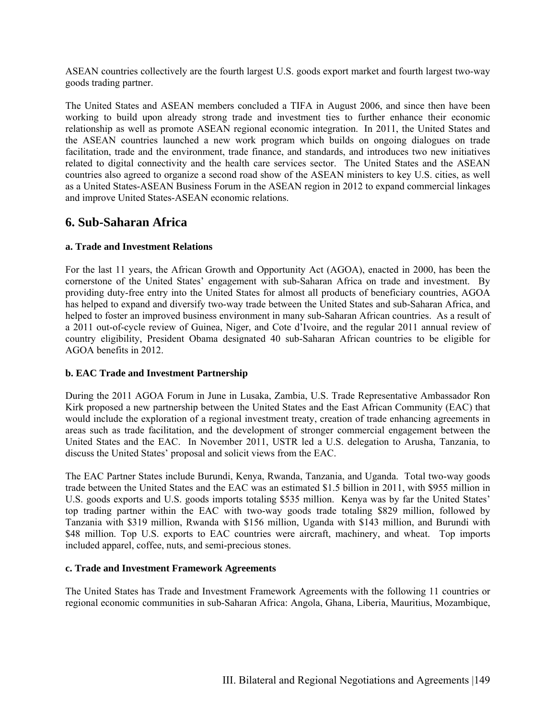ASEAN countries collectively are the fourth largest U.S. goods export market and fourth largest two-way goods trading partner.

The United States and ASEAN members concluded a TIFA in August 2006, and since then have been working to build upon already strong trade and investment ties to further enhance their economic relationship as well as promote ASEAN regional economic integration. In 2011, the United States and the ASEAN countries launched a new work program which builds on ongoing dialogues on trade facilitation, trade and the environment, trade finance, and standards, and introduces two new initiatives related to digital connectivity and the health care services sector. The United States and the ASEAN countries also agreed to organize a second road show of the ASEAN ministers to key U.S. cities, as well as a United States-ASEAN Business Forum in the ASEAN region in 2012 to expand commercial linkages and improve United States-ASEAN economic relations.

# **6. Sub-Saharan Africa**

#### **a. Trade and Investment Relations**

For the last 11 years, the African Growth and Opportunity Act (AGOA), enacted in 2000, has been the cornerstone of the United States' engagement with sub-Saharan Africa on trade and investment. By providing duty-free entry into the United States for almost all products of beneficiary countries, AGOA has helped to expand and diversify two-way trade between the United States and sub-Saharan Africa, and helped to foster an improved business environment in many sub-Saharan African countries. As a result of a 2011 out-of-cycle review of Guinea, Niger, and Cote d'Ivoire, and the regular 2011 annual review of country eligibility, President Obama designated 40 sub-Saharan African countries to be eligible for AGOA benefits in 2012.

#### **b. EAC Trade and Investment Partnership**

During the 2011 AGOA Forum in June in Lusaka, Zambia, U.S. Trade Representative Ambassador Ron Kirk proposed a new partnership between the United States and the East African Community (EAC) that would include the exploration of a regional investment treaty, creation of trade enhancing agreements in areas such as trade facilitation, and the development of stronger commercial engagement between the United States and the EAC. In November 2011, USTR led a U.S. delegation to Arusha, Tanzania, to discuss the United States' proposal and solicit views from the EAC.

The EAC Partner States include Burundi, Kenya, Rwanda, Tanzania, and Uganda. Total two-way goods trade between the United States and the EAC was an estimated \$1.5 billion in 2011, with \$955 million in U.S. goods exports and U.S. goods imports totaling \$535 million. Kenya was by far the United States' top trading partner within the EAC with two-way goods trade totaling \$829 million, followed by Tanzania with \$319 million, Rwanda with \$156 million, Uganda with \$143 million, and Burundi with \$48 million. Top U.S. exports to EAC countries were aircraft, machinery, and wheat. Top imports included apparel, coffee, nuts, and semi-precious stones.

#### **c. Trade and Investment Framework Agreements**

The United States has Trade and Investment Framework Agreements with the following 11 countries or regional economic communities in sub-Saharan Africa: Angola, Ghana, Liberia, Mauritius, Mozambique,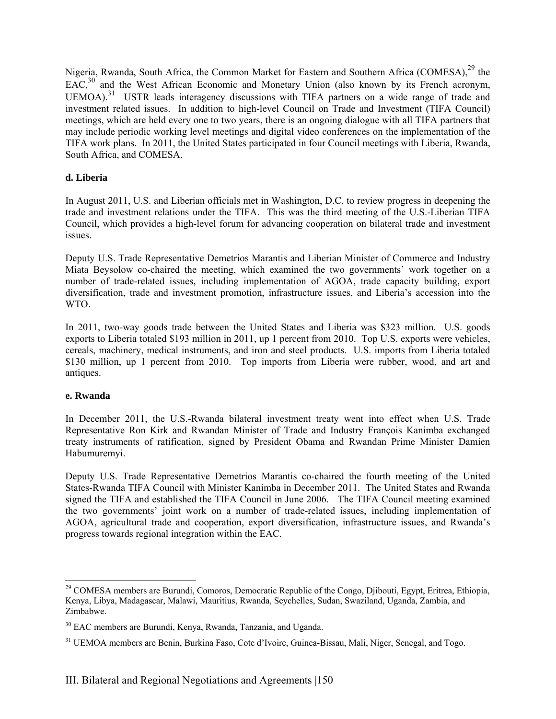Nigeria, Rwanda, South Africa, the Common Market for Eastern and Southern Africa (COMESA),<sup>29</sup> the  $EAC<sub>1</sub><sup>30</sup>$  and the West African Economic and Monetary Union (also known by its French acronym, UEMOA).<sup>31</sup> USTR leads interagency discussions with TIFA partners on a wide range of trade and investment related issues. In addition to high-level Council on Trade and Investment (TIFA Council) meetings, which are held every one to two years, there is an ongoing dialogue with all TIFA partners that may include periodic working level meetings and digital video conferences on the implementation of the TIFA work plans. In 2011, the United States participated in four Council meetings with Liberia, Rwanda, South Africa, and COMESA.

#### **d. Liberia**

In August 2011, U.S. and Liberian officials met in Washington, D.C. to review progress in deepening the trade and investment relations under the TIFA. This was the third meeting of the U.S.-Liberian TIFA Council, which provides a high-level forum for advancing cooperation on bilateral trade and investment issues.

Deputy U.S. Trade Representative Demetrios Marantis and Liberian Minister of Commerce and Industry Miata Beysolow co-chaired the meeting, which examined the two governments' work together on a number of trade-related issues, including implementation of AGOA, trade capacity building, export diversification, trade and investment promotion, infrastructure issues, and Liberia's accession into the WTO.

In 2011, two-way goods trade between the United States and Liberia was \$323 million. U.S. goods exports to Liberia totaled \$193 million in 2011, up 1 percent from 2010. Top U.S. exports were vehicles, cereals, machinery, medical instruments, and iron and steel products. U.S. imports from Liberia totaled \$130 million, up 1 percent from 2010. Top imports from Liberia were rubber, wood, and art and antiques.

#### **e. Rwanda**

 $\overline{a}$ 

In December 2011, the U.S.-Rwanda bilateral investment treaty went into effect when U.S. Trade Representative Ron Kirk and Rwandan Minister of Trade and Industry François Kanimba exchanged treaty instruments of ratification, signed by President Obama and Rwandan Prime Minister Damien Habumuremyi.

Deputy U.S. Trade Representative Demetrios Marantis co-chaired the fourth meeting of the United States-Rwanda TIFA Council with Minister Kanimba in December 2011. The United States and Rwanda signed the TIFA and established the TIFA Council in June 2006. The TIFA Council meeting examined the two governments' joint work on a number of trade-related issues, including implementation of AGOA, agricultural trade and cooperation, export diversification, infrastructure issues, and Rwanda's progress towards regional integration within the EAC.

<sup>&</sup>lt;sup>29</sup> COMESA members are Burundi, Comoros, Democratic Republic of the Congo, Djibouti, Egypt, Eritrea, Ethiopia, Kenya, Libya, Madagascar, Malawi, Mauritius, Rwanda, Seychelles, Sudan, Swaziland, Uganda, Zambia, and Zimbabwe.

<sup>&</sup>lt;sup>30</sup> EAC members are Burundi, Kenya, Rwanda, Tanzania, and Uganda.

<sup>&</sup>lt;sup>31</sup> UEMOA members are Benin, Burkina Faso, Cote d'Ivoire, Guinea-Bissau, Mali, Niger, Senegal, and Togo.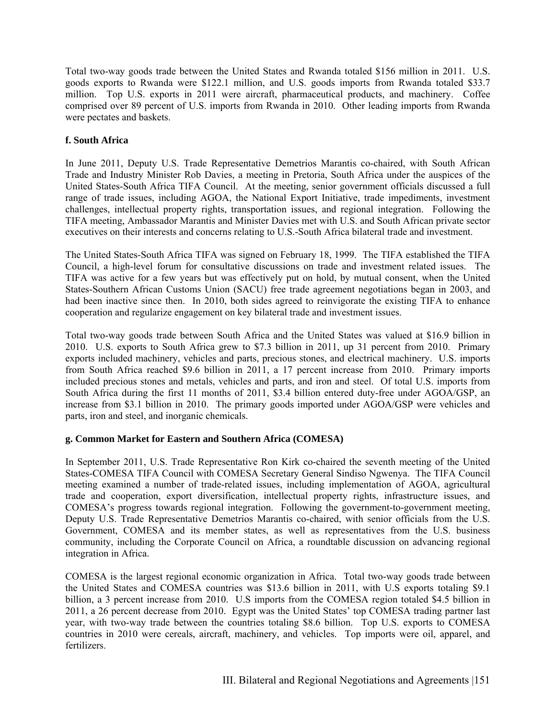Total two-way goods trade between the United States and Rwanda totaled \$156 million in 2011. U.S. goods exports to Rwanda were \$122.1 million, and U.S. goods imports from Rwanda totaled \$33.7 million. Top U.S. exports in 2011 were aircraft, pharmaceutical products, and machinery. Coffee comprised over 89 percent of U.S. imports from Rwanda in 2010. Other leading imports from Rwanda were pectates and baskets.

#### **f. South Africa**

In June 2011, Deputy U.S. Trade Representative Demetrios Marantis co-chaired, with South African Trade and Industry Minister Rob Davies, a meeting in Pretoria, South Africa under the auspices of the United States-South Africa TIFA Council. At the meeting, senior government officials discussed a full range of trade issues, including AGOA, the National Export Initiative, trade impediments, investment challenges, intellectual property rights, transportation issues, and regional integration. Following the TIFA meeting, Ambassador Marantis and Minister Davies met with U.S. and South African private sector executives on their interests and concerns relating to U.S.-South Africa bilateral trade and investment.

The United States-South Africa TIFA was signed on February 18, 1999. The TIFA established the TIFA Council, a high-level forum for consultative discussions on trade and investment related issues. The TIFA was active for a few years but was effectively put on hold, by mutual consent, when the United States-Southern African Customs Union (SACU) free trade agreement negotiations began in 2003, and had been inactive since then. In 2010, both sides agreed to reinvigorate the existing TIFA to enhance cooperation and regularize engagement on key bilateral trade and investment issues.

Total two-way goods trade between South Africa and the United States was valued at \$16.9 billion in 2010. U.S. exports to South Africa grew to \$7.3 billion in 2011, up 31 percent from 2010. Primary exports included machinery, vehicles and parts, precious stones, and electrical machinery. U.S. imports from South Africa reached \$9.6 billion in 2011, a 17 percent increase from 2010. Primary imports included precious stones and metals, vehicles and parts, and iron and steel. Of total U.S. imports from South Africa during the first 11 months of 2011, \$3.4 billion entered duty-free under AGOA/GSP, an increase from \$3.1 billion in 2010. The primary goods imported under AGOA/GSP were vehicles and parts, iron and steel, and inorganic chemicals.

#### **g. Common Market for Eastern and Southern Africa (COMESA)**

In September 2011, U.S. Trade Representative Ron Kirk co-chaired the seventh meeting of the United States-COMESA TIFA Council with COMESA Secretary General Sindiso Ngwenya. The TIFA Council meeting examined a number of trade-related issues, including implementation of AGOA, agricultural trade and cooperation, export diversification, intellectual property rights, infrastructure issues, and COMESA's progress towards regional integration. Following the government-to-government meeting, Deputy U.S. Trade Representative Demetrios Marantis co-chaired, with senior officials from the U.S. Government, COMESA and its member states, as well as representatives from the U.S. business community, including the Corporate Council on Africa, a roundtable discussion on advancing regional integration in Africa.

COMESA is the largest regional economic organization in Africa. Total two-way goods trade between the United States and COMESA countries was \$13.6 billion in 2011, with U.S exports totaling \$9.1 billion, a 3 percent increase from 2010. U.S imports from the COMESA region totaled \$4.5 billion in 2011, a 26 percent decrease from 2010. Egypt was the United States' top COMESA trading partner last year, with two-way trade between the countries totaling \$8.6 billion. Top U.S. exports to COMESA countries in 2010 were cereals, aircraft, machinery, and vehicles. Top imports were oil, apparel, and fertilizers.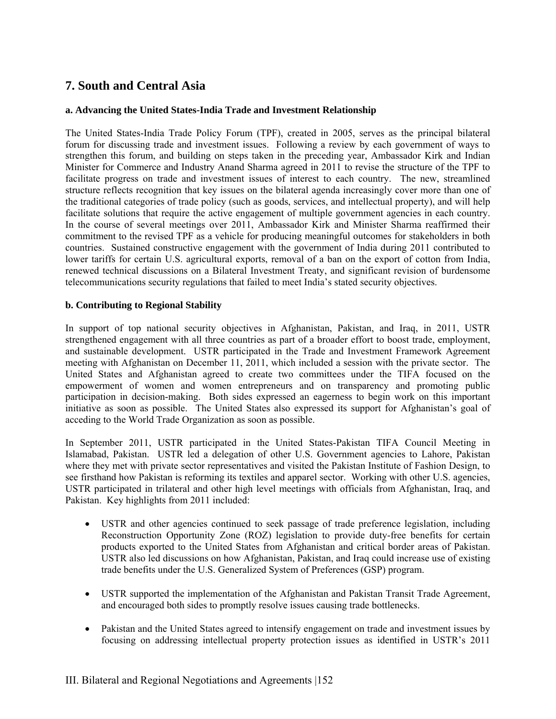# **7. South and Central Asia**

#### **a. Advancing the United States-India Trade and Investment Relationship**

The United States-India Trade Policy Forum (TPF), created in 2005, serves as the principal bilateral forum for discussing trade and investment issues. Following a review by each government of ways to strengthen this forum, and building on steps taken in the preceding year, Ambassador Kirk and Indian Minister for Commerce and Industry Anand Sharma agreed in 2011 to revise the structure of the TPF to facilitate progress on trade and investment issues of interest to each country. The new, streamlined structure reflects recognition that key issues on the bilateral agenda increasingly cover more than one of the traditional categories of trade policy (such as goods, services, and intellectual property), and will help facilitate solutions that require the active engagement of multiple government agencies in each country. In the course of several meetings over 2011, Ambassador Kirk and Minister Sharma reaffirmed their commitment to the revised TPF as a vehicle for producing meaningful outcomes for stakeholders in both countries. Sustained constructive engagement with the government of India during 2011 contributed to lower tariffs for certain U.S. agricultural exports, removal of a ban on the export of cotton from India, renewed technical discussions on a Bilateral Investment Treaty, and significant revision of burdensome telecommunications security regulations that failed to meet India's stated security objectives.

#### **b. Contributing to Regional Stability**

In support of top national security objectives in Afghanistan, Pakistan, and Iraq, in 2011, USTR strengthened engagement with all three countries as part of a broader effort to boost trade, employment, and sustainable development. USTR participated in the Trade and Investment Framework Agreement meeting with Afghanistan on December 11, 2011, which included a session with the private sector. The United States and Afghanistan agreed to create two committees under the TIFA focused on the empowerment of women and women entrepreneurs and on transparency and promoting public participation in decision-making. Both sides expressed an eagerness to begin work on this important initiative as soon as possible. The United States also expressed its support for Afghanistan's goal of acceding to the World Trade Organization as soon as possible.

In September 2011, USTR participated in the United States-Pakistan TIFA Council Meeting in Islamabad, Pakistan. USTR led a delegation of other U.S. Government agencies to Lahore, Pakistan where they met with private sector representatives and visited the Pakistan Institute of Fashion Design, to see firsthand how Pakistan is reforming its textiles and apparel sector. Working with other U.S. agencies, USTR participated in trilateral and other high level meetings with officials from Afghanistan, Iraq, and Pakistan. Key highlights from 2011 included:

- USTR and other agencies continued to seek passage of trade preference legislation, including Reconstruction Opportunity Zone (ROZ) legislation to provide duty-free benefits for certain products exported to the United States from Afghanistan and critical border areas of Pakistan. USTR also led discussions on how Afghanistan, Pakistan, and Iraq could increase use of existing trade benefits under the U.S. Generalized System of Preferences (GSP) program.
- USTR supported the implementation of the Afghanistan and Pakistan Transit Trade Agreement, and encouraged both sides to promptly resolve issues causing trade bottlenecks.
- Pakistan and the United States agreed to intensify engagement on trade and investment issues by focusing on addressing intellectual property protection issues as identified in USTR's 2011